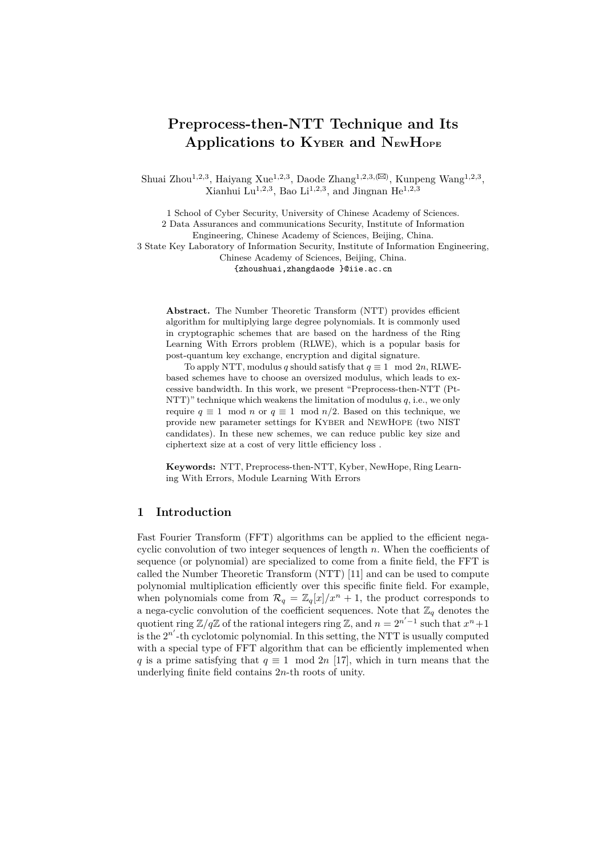# **Preprocess-then-NTT Technique and Its Applications to KYBER and NEWHOPE**

Shuai Zhou<sup>1,2,3</sup>, Haiyang Xue<sup>1,2,3</sup>, Daode Zhang<sup>1,2,3,( $\boxtimes$ )</sup>, Kunpeng Wang<sup>1,2,3</sup>, Xianhui Lu<sup>1,2,3</sup>, Bao Li<sup>1,2,3</sup>, and Jingnan He<sup>1,2,3</sup>

1 School of Cyber Security, University of Chinese Academy of Sciences. 2 Data Assurances and communications Security, Institute of Information Engineering, Chinese Academy of Sciences, Beijing, China. 3 State Key Laboratory of Information Security, Institute of Information Engineering, Chinese Academy of Sciences, Beijing, China. {zhoushuai,zhangdaode }@iie.ac.cn

**Abstract.** The Number Theoretic Transform (NTT) provides efficient algorithm for multiplying large degree polynomials. It is commonly used in cryptographic schemes that are based on the hardness of the Ring Learning With Errors problem (RLWE), which is a popular basis for post-quantum key exchange, encryption and digital signature.

To apply NTT, modulus *q* should satisfy that  $q \equiv 1 \mod 2n$ , RLWEbased schemes have to choose an oversized modulus, which leads to excessive bandwidth. In this work, we present "Preprocess-then-NTT (Pt-NTT)" technique which weakens the limitation of modulus  $q$ , i.e., we only require  $q \equiv 1 \mod n$  or  $q \equiv 1 \mod n/2$ . Based on this technique, we provide new parameter settings for KYBER and NEWHOPE (two NIST candidates). In these new schemes, we can reduce public key size and ciphertext size at a cost of very little efficiency loss .

**Keywords:** NTT, Preprocess-then-NTT, Kyber, NewHope, Ring Learning With Errors, Module Learning With Errors

# **1 Introduction**

Fast Fourier Transform (FFT) algorithms can be applied to the efficient negacyclic convolution of two integer sequences of length *n*. When the coefficients of sequence (or polynomial) are specialized to come from a finite field, the FFT is called the Number Theoretic Transform (NTT) [11] and can be used to compute polynomial multiplication efficiently over this specific finite field. For example, when polynomials come from  $\mathcal{R}_q = \mathbb{Z}_q[x]/x^n + 1$ , the product corresponds to a nega-cyclic convolution of the coefficient sequences. Note that  $\mathbb{Z}_q$  denotes the quotient ring  $\mathbb{Z}/q\mathbb{Z}$  of the rational integers ring  $\mathbb{Z}$ , and  $n = 2^{n'-1}$  such that  $x^n + 1$ is the  $2^{n'}$ -th cyclotomic polynomial. In this setting, the NTT is usually computed with a special type of FFT algorithm that can be efficiently implemented when *q* is a prime satisfying that  $q \equiv 1 \mod 2n$  [17], which in turn means that the underlying finite field contains 2*n*-th roots of unity.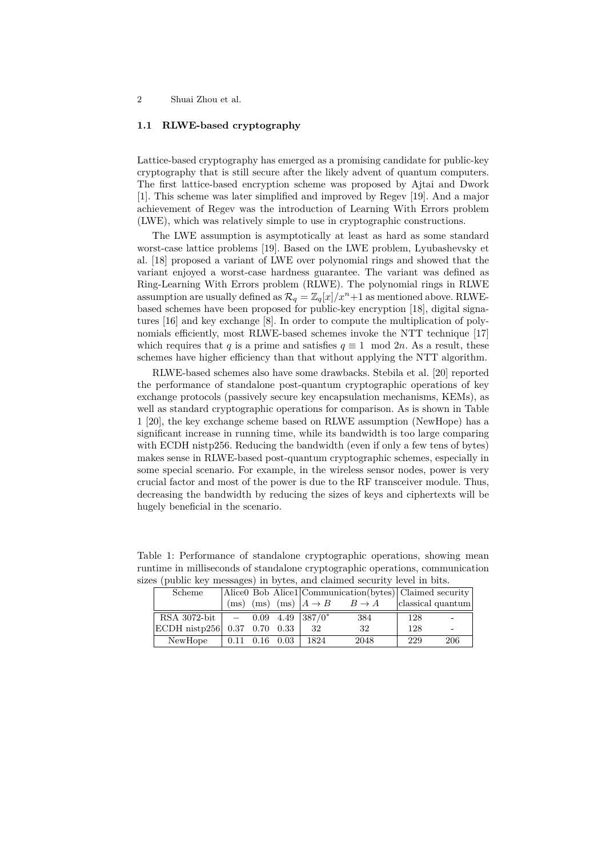#### **1.1 RLWE-based cryptography**

Lattice-based cryptography has emerged as a promising candidate for public-key cryptography that is still secure after the likely advent of quantum computers. The first lattice-based encryption scheme was proposed by Ajtai and Dwork [1]. This scheme was later simplified and improved by Regev [19]. And a major achievement of Regev was the introduction of Learning With Errors problem (LWE), which was relatively simple to use in cryptographic constructions.

The LWE assumption is asymptotically at least as hard as some standard worst-case lattice problems [19]. Based on the LWE problem, Lyubashevsky et al. [18] proposed a variant of LWE over polynomial rings and showed that the variant enjoyed a worst-case hardness guarantee. The variant was defined as Ring-Learning With Errors problem (RLWE). The polynomial rings in RLWE assumption are usually defined as  $\mathcal{R}_q = \mathbb{Z}_q[x]/x^n + 1$  as mentioned above. RLWEbased schemes have been proposed for public-key encryption [18], digital signatures [16] and key exchange [8]. In order to compute the multiplication of polynomials efficiently, most RLWE-based schemes invoke the NTT technique [17] which requires that *q* is a prime and satisfies  $q \equiv 1 \mod 2n$ . As a result, these schemes have higher efficiency than that without applying the NTT algorithm.

RLWE-based schemes also have some drawbacks. Stebila et al. [20] reported the performance of standalone post-quantum cryptographic operations of key exchange protocols (passively secure key encapsulation mechanisms, KEMs), as well as standard cryptographic operations for comparison. As is shown in Table 1 [20], the key exchange scheme based on RLWE assumption (NewHope) has a significant increase in running time, while its bandwidth is too large comparing with ECDH nistp256. Reducing the bandwidth (even if only a few tens of bytes) makes sense in RLWE-based post-quantum cryptographic schemes, especially in some special scenario. For example, in the wireless sensor nodes, power is very crucial factor and most of the power is due to the RF transceiver module. Thus, decreasing the bandwidth by reducing the sizes of keys and ciphertexts will be hugely beneficial in the scenario.

| es (public key messages) in bytes, and claimed security level in bits. |  |                      |      |                                                             |     |                   |
|------------------------------------------------------------------------|--|----------------------|------|-------------------------------------------------------------|-----|-------------------|
| Scheme                                                                 |  |                      |      | Alice0 Bob Alice1 Communication(bytes) Claimed security     |     |                   |
|                                                                        |  |                      |      | (ms) (ms) $\text{(ms)}$ $A \rightarrow B$ $B \rightarrow A$ |     | classical quantum |
| RSA 3072-bit $\vert$ - 0.09 4.49 $\vert 387/0^*$                       |  |                      |      | 384                                                         | 128 |                   |
| ECDH nistp256  0.37 0.70 0.33                                          |  |                      | 32   | 32                                                          | 128 |                   |
| NewHope                                                                |  | $0.11$ $0.16$ $0.03$ | 1824 | 2048                                                        | 229 | 206               |

Table 1: Performance of standalone cryptographic operations, showing mean runtime in milliseconds of standalone cryptographic operations, communication<br>gives (public lear measures) in bytes, and elaimed security level in hite sizes (public key messages) in bytes, and claimed security level in bits.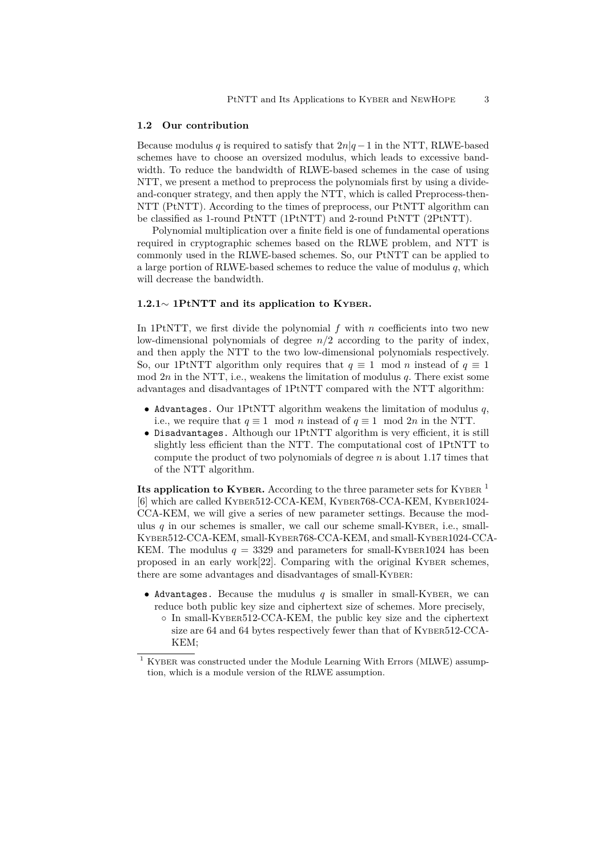#### **1.2 Our contribution**

Because modulus *q* is required to satisfy that  $2n|q-1|$  in the NTT, RLWE-based schemes have to choose an oversized modulus, which leads to excessive bandwidth. To reduce the bandwidth of RLWE-based schemes in the case of using NTT, we present a method to preprocess the polynomials first by using a divideand-conquer strategy, and then apply the NTT, which is called Preprocess-then-NTT (PtNTT). According to the times of preprocess, our PtNTT algorithm can be classified as 1-round PtNTT (1PtNTT) and 2-round PtNTT (2PtNTT).

Polynomial multiplication over a finite field is one of fundamental operations required in cryptographic schemes based on the RLWE problem, and NTT is commonly used in the RLWE-based schemes. So, our PtNTT can be applied to a large portion of RLWE-based schemes to reduce the value of modulus *q*, which will decrease the bandwidth.

### **1.2.1***∼* **1PtNTT and its application to KYBER.**

In 1PtNTT, we first divide the polynomial  $f$  with  $n$  coefficients into two new low-dimensional polynomials of degree *n/*2 according to the parity of index, and then apply the NTT to the two low-dimensional polynomials respectively. So, our 1PtNTT algorithm only requires that  $q \equiv 1 \mod n$  instead of  $q \equiv 1$ mod  $2n$  in the NTT, i.e., weakens the limitation of modulus  $q$ . There exist some advantages and disadvantages of 1PtNTT compared with the NTT algorithm:

- *•* Advantages. Our 1PtNTT algorithm weakens the limitation of modulus *q*, i.e., we require that  $q \equiv 1 \mod n$  instead of  $q \equiv 1 \mod 2n$  in the NTT.
- *•* Disadvantages. Although our 1PtNTT algorithm is very efficient, it is still slightly less efficient than the NTT. The computational cost of 1PtNTT to compute the product of two polynomials of degree *n* is about 1*.*17 times that of the NTT algorithm.

**Its application to KYBER.** According to the three parameter sets for KYBER <sup>1</sup> [6] which are called KYBER512-CCA-KEM, KYBER768-CCA-KEM, KYBER1024- CCA-KEM, we will give a series of new parameter settings. Because the modulus  $q$  in our schemes is smaller, we call our scheme small-KYBER, i.e., small-KYBER512-CCA-KEM, small-KYBER768-CCA-KEM, and small-KYBER1024-CCA-KEM. The modulus  $q = 3329$  and parameters for small-KYBER1024 has been proposed in an early work $[22]$ . Comparing with the original KYBER schemes, there are some advantages and disadvantages of small-KYBER:

- *•* Advantages. Because the mudulus *q* is smaller in small-KYBER, we can reduce both public key size and ciphertext size of schemes. More precisely,
	- *◦* In small-KYBER512-CCA-KEM, the public key size and the ciphertext size are 64 and 64 bytes respectively fewer than that of KYBER512-CCA-KEM;

 $^{\rm 1}$  KYBER was constructed under the Module Learning With Errors (MLWE) assumption, which is a module version of the RLWE assumption.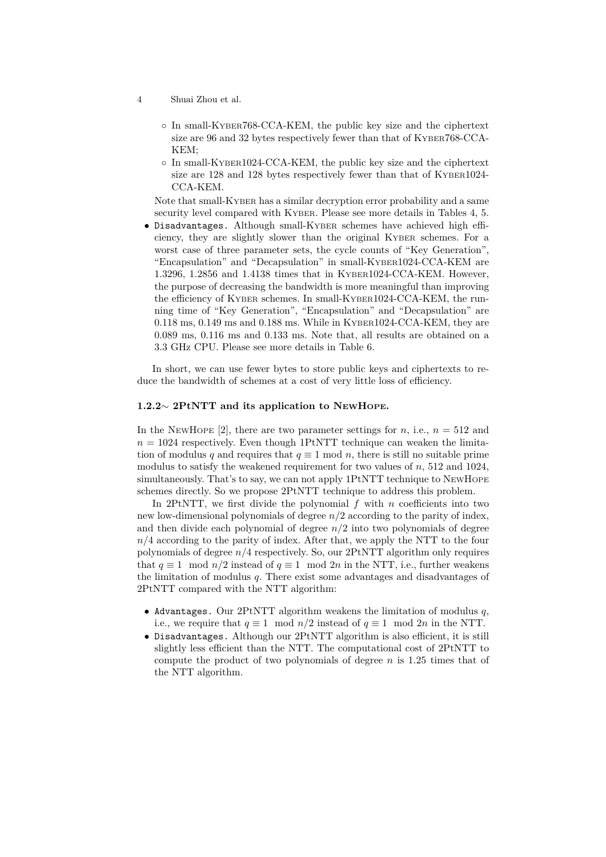- 4 Shuai Zhou et al.
	- *◦* In small-KYBER768-CCA-KEM, the public key size and the ciphertext size are 96 and 32 bytes respectively fewer than that of KYBER768-CCA-KEM;
	- *◦* In small-KYBER1024-CCA-KEM, the public key size and the ciphertext size are 128 and 128 bytes respectively fewer than that of KYBER1024- CCA-KEM.

Note that small-KYBER has a similar decryption error probability and a same security level compared with KYBER. Please see more details in Tables 4, 5.

*•* Disadvantages. Although small-KYBER schemes have achieved high efficiency, they are slightly slower than the original KYBER schemes. For a worst case of three parameter sets, the cycle counts of "Key Generation", "Encapsulation" and "Decapsulation" in small-KYBER1024-CCA-KEM are 1.3296, 1.2856 and 1.4138 times that in KYBER1024-CCA-KEM. However, the purpose of decreasing the bandwidth is more meaningful than improving the efficiency of KYBER schemes. In small-KYBER1024-CCA-KEM, the running time of "Key Generation", "Encapsulation" and "Decapsulation" are 0.118 ms, 0.149 ms and 0.188 ms. While in KYBER1024-CCA-KEM, they are 0.089 ms, 0.116 ms and 0.133 ms. Note that, all results are obtained on a 3.3 GHz CPU. Please see more details in Table 6.

In short, we can use fewer bytes to store public keys and ciphertexts to reduce the bandwidth of schemes at a cost of very little loss of efficiency.

# **1.2.2***∼* **2PtNTT and its application to NEWHOPE.**

In the NEWHOPE [2], there are two parameter settings for *n*, i.e.,  $n = 512$  and  $n = 1024$  respectively. Even though 1PtNTT technique can weaken the limitation of modulus *q* and requires that  $q \equiv 1 \mod n$ , there is still no suitable prime modulus to satisfy the weakened requirement for two values of *n*, 512 and 1024, simultaneously. That's to say, we can not apply 1PtNTT technique to NEWHOPE schemes directly. So we propose 2PtNTT technique to address this problem.

In 2PtNTT, we first divide the polynomial  $f$  with  $n$  coefficients into two new low-dimensional polynomials of degree *n/*2 according to the parity of index, and then divide each polynomial of degree  $n/2$  into two polynomials of degree  $n/4$  according to the parity of index. After that, we apply the NTT to the four polynomials of degree *n/*4 respectively. So, our 2PtNTT algorithm only requires that  $q \equiv 1 \mod n/2$  instead of  $q \equiv 1 \mod 2n$  in the NTT, i.e., further weakens the limitation of modulus *q*. There exist some advantages and disadvantages of 2PtNTT compared with the NTT algorithm:

- *•* Advantages. Our 2PtNTT algorithm weakens the limitation of modulus *q*, i.e., we require that  $q \equiv 1 \mod n/2$  instead of  $q \equiv 1 \mod 2n$  in the NTT.
- *•* Disadvantages. Although our 2PtNTT algorithm is also efficient, it is still slightly less efficient than the NTT. The computational cost of 2PtNTT to compute the product of two polynomials of degree *n* is 1*.*25 times that of the NTT algorithm.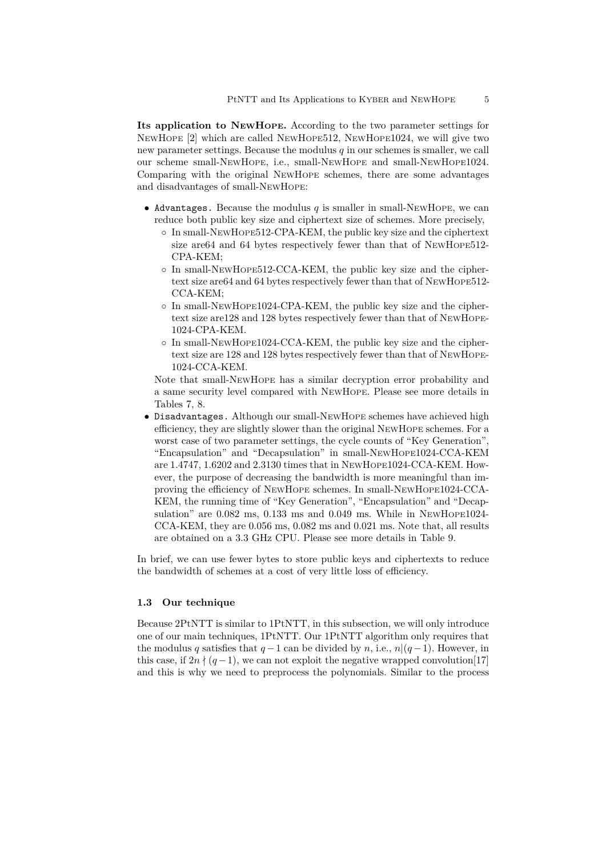**Its application to NEWHOPE.** According to the two parameter settings for NEWHOPE [2] which are called NEWHOPE512, NEWHOPE1024, we will give two new parameter settings. Because the modulus *q* in our schemes is smaller, we call our scheme small-NEWHOPE, i.e., small-NEWHOPE and small-NEWHOPE1024. Comparing with the original NEWHOPE schemes, there are some advantages and disadvantages of small-NEWHOPE:

- *•* Advantages. Because the modulus *q* is smaller in small-NEWHOPE, we can reduce both public key size and ciphertext size of schemes. More precisely,
	- *◦* In small-NEWHOPE512-CPA-KEM, the public key size and the ciphertext size are64 and 64 bytes respectively fewer than that of NEWHOPE512- CPA-KEM;
	- *◦* In small-NEWHOPE512-CCA-KEM, the public key size and the ciphertext size are64 and 64 bytes respectively fewer than that of NEWHOPE512- CCA-KEM;
	- *◦* In small-NEWHOPE1024-CPA-KEM, the public key size and the ciphertext size are128 and 128 bytes respectively fewer than that of NEWHOPE-1024-CPA-KEM.
	- *◦* In small-NEWHOPE1024-CCA-KEM, the public key size and the ciphertext size are 128 and 128 bytes respectively fewer than that of NEWHOPE-1024-CCA-KEM.

Note that small-NEWHOPE has a similar decryption error probability and a same security level compared with NEWHOPE. Please see more details in Tables 7, 8.

*•* Disadvantages. Although our small-NEWHOPE schemes have achieved high efficiency, they are slightly slower than the original NEWHOPE schemes. For a worst case of two parameter settings, the cycle counts of "Key Generation", "Encapsulation" and "Decapsulation" in small-NEWHOPE1024-CCA-KEM are 1.4747, 1.6202 and 2.3130 times that in NEWHOPE1024-CCA-KEM. However, the purpose of decreasing the bandwidth is more meaningful than improving the efficiency of NEWHOPE schemes. In small-NEWHOPE1024-CCA-KEM, the running time of "Key Generation", "Encapsulation" and "Decapsulation" are 0.082 ms, 0.133 ms and 0.049 ms. While in NEWHOPE1024- CCA-KEM, they are 0.056 ms, 0.082 ms and 0.021 ms. Note that, all results are obtained on a 3.3 GHz CPU. Please see more details in Table 9.

In brief, we can use fewer bytes to store public keys and ciphertexts to reduce the bandwidth of schemes at a cost of very little loss of efficiency.

### **1.3 Our technique**

Because 2PtNTT is similar to 1PtNTT, in this subsection, we will only introduce one of our main techniques, 1PtNTT. Our 1PtNTT algorithm only requires that the modulus *q* satisfies that  $q-1$  can be divided by *n*, i.e.,  $n|(q-1)$ . However, in this case, if  $2n \nmid (q-1)$ , we can not exploit the negative wrapped convolution[17] and this is why we need to preprocess the polynomials. Similar to the process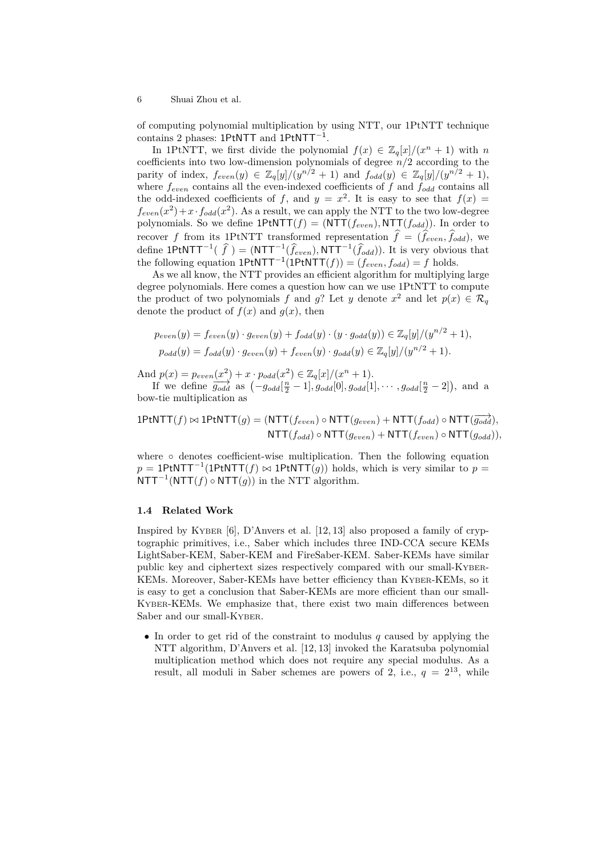of computing polynomial multiplication by using NTT, our 1PtNTT technique contains 2 phases: 1PtNTT and 1PtNTT*−*<sup>1</sup> .

In 1PtNTT, we first divide the polynomial  $f(x) \in \mathbb{Z}_q[x]/(x^n + 1)$  with *n* coefficients into two low-dimension polynomials of degree *n/*2 according to the parity of index,  $f_{even}(y) \in \mathbb{Z}_q[y]/(y^{n/2} + 1)$  and  $f_{odd}(y) \in \mathbb{Z}_q[y]/(y^{n/2} + 1)$ , where  $f_{even}$  contains all the even-indexed coefficients of  $f$  and  $f_{odd}$  contains all the odd-indexed coefficients of *f*, and  $y = x^2$ . It is easy to see that  $f(x) =$  $f_{even}(x^2) + x \cdot f_{odd}(x^2)$ . As a result, we can apply the NTT to the two low-degree polynomials. So we define  $1$ PtNTT $(f) = (NTT(f_{even}), NTT(f_{odd}))$ . In order to recover *f* from its 1PtNTT transformed representation  $\hat{f} = (\hat{f}_{even}, \hat{f}_{odd})$ , we define  $1$ PtNTT<sup>-1</sup>( $\hat{f}$ ) = (NTT<sup>-1</sup>( $\hat{f}_{even}$ ), NTT<sup>-1</sup>( $\hat{f}_{odd}$ )). It is very obvious that the following equation  $1$ PtNTT<sup> $-1$ </sup> $(1$ PtNTT $(f)) = (f_{even}, f_{odd}) = f$  holds.

As we all know, the NTT provides an efficient algorithm for multiplying large degree polynomials. Here comes a question how can we use 1PtNTT to compute the product of two polynomials *f* and *g*? Let *y* denote  $x^2$  and let  $p(x) \in \mathcal{R}_q$ denote the product of  $f(x)$  and  $g(x)$ , then

$$
p_{even}(y) = f_{even}(y) \cdot g_{even}(y) + f_{odd}(y) \cdot (y \cdot g_{odd}(y)) \in \mathbb{Z}_q[y]/(y^{n/2} + 1),
$$
  

$$
p_{odd}(y) = f_{odd}(y) \cdot g_{even}(y) + f_{even}(y) \cdot g_{odd}(y) \in \mathbb{Z}_q[y]/(y^{n/2} + 1).
$$

And  $p(x) = p_{even}(x^2) + x \cdot p_{odd}(x^2) \in \mathbb{Z}_q[x]/(x^n + 1)$ .

If we define  $\overline{g_{odd}}$  as  $(-g_{odd}[\frac{n}{2}-1], g_{odd}[0], g_{odd}[1], \cdots, g_{odd}[\frac{n}{2}-2]),$  and a bow-tie multiplication as

$$
1\text{PtNTT}(f) \bowtie 1\text{PtNTT}(g) = (\text{NTT}(f_{even}) \circ \text{NTT}(g_{even}) + \text{NTT}(f_{odd}) \circ \text{NTT}(\overrightarrow{g_{odd}}),
$$
  

$$
\text{NTT}(f_{odd}) \circ \text{NTT}(g_{even}) + \text{NTT}(f_{even}) \circ \text{NTT}(g_{odd})),
$$

where **◦** denotes coefficient-wise multiplication. Then the following equation  $p = 1$ PtNTT<sup> $-1$ </sup>(1PtNTT(*f*)  $\bowtie$  1PtNTT(*g*)) holds, which is very similar to  $p =$ NTT*−*<sup>1</sup> (NTT(*f*) *◦* NTT(*g*)) in the NTT algorithm.

#### **1.4 Related Work**

Inspired by KYBER [6], D'Anvers et al. [12, 13] also proposed a family of cryptographic primitives, i.e., Saber which includes three IND-CCA secure KEMs LightSaber-KEM, Saber-KEM and FireSaber-KEM. Saber-KEMs have similar public key and ciphertext sizes respectively compared with our small-KYBER-KEMs. Moreover, Saber-KEMs have better efficiency than KYBER-KEMs, so it is easy to get a conclusion that Saber-KEMs are more efficient than our small-KYBER-KEMs. We emphasize that, there exist two main differences between Saber and our small-KYBER.

*•* In order to get rid of the constraint to modulus *q* caused by applying the NTT algorithm, D'Anvers et al. [12, 13] invoked the Karatsuba polynomial multiplication method which does not require any special modulus. As a result, all moduli in Saber schemes are powers of 2, i.e.,  $q = 2^{13}$ , while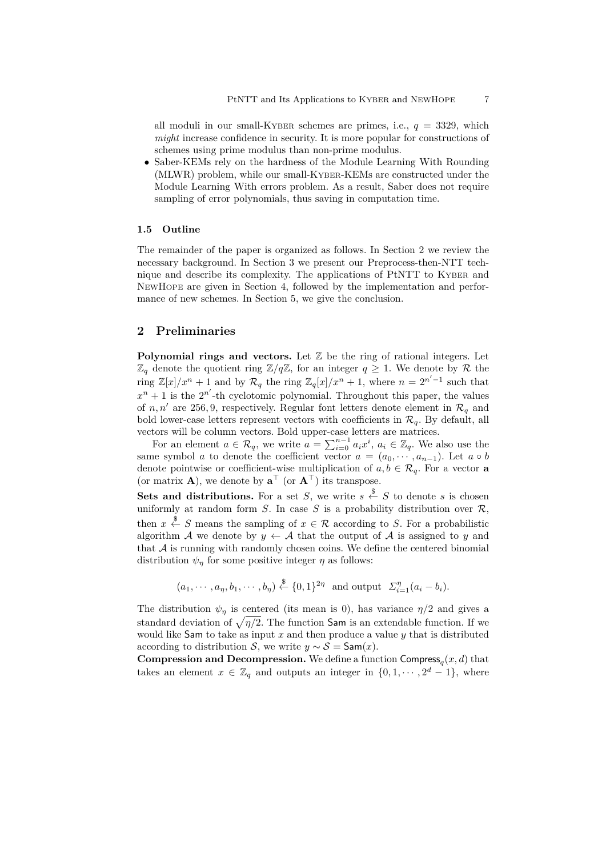all moduli in our small-KYBER schemes are primes, i.e.,  $q = 3329$ , which *might* increase confidence in security. It is more popular for constructions of schemes using prime modulus than non-prime modulus.

*•* Saber-KEMs rely on the hardness of the Module Learning With Rounding (MLWR) problem, while our small-KYBER-KEMs are constructed under the Module Learning With errors problem. As a result, Saber does not require sampling of error polynomials, thus saving in computation time.

#### **1.5 Outline**

The remainder of the paper is organized as follows. In Section 2 we review the necessary background. In Section 3 we present our Preprocess-then-NTT technique and describe its complexity. The applications of PtNTT to KYBER and NEWHOPE are given in Section 4, followed by the implementation and performance of new schemes. In Section 5, we give the conclusion.

### **2 Preliminaries**

**Polynomial rings and vectors.** Let  $\mathbb{Z}$  be the ring of rational integers. Let  $\mathbb{Z}_q$  denote the quotient ring  $\mathbb{Z}/q\mathbb{Z}$ , for an integer  $q \geq 1$ . We denote by  $\mathcal R$  the ring  $\mathbb{Z}[x]/x^n + 1$  and by  $\mathcal{R}_q$  the ring  $\mathbb{Z}_q[x]/x^n + 1$ , where  $n = 2^{n'-1}$  such that  $x^n + 1$  is the  $2^{n'}$ -th cyclotomic polynomial. Throughout this paper, the values of *n, n'* are 256, 9, respectively. Regular font letters denote element in  $\mathcal{R}_q$  and bold lower-case letters represent vectors with coefficients in  $\mathcal{R}_q$ . By default, all vectors will be column vectors. Bold upper-case letters are matrices.

For an element  $a \in \mathcal{R}_q$ , we write  $a = \sum_{i=0}^{n-1} a_i x^i$ ,  $a_i \in \mathbb{Z}_q$ . We also use the same symbol *a* to denote the coefficient vector  $a = (a_0, \dots, a_{n-1})$ . Let  $a \circ b$ denote pointwise or coefficient-wise multiplication of  $a, b \in \mathcal{R}_q$ . For a vector **a** (or matrix **A**), we denote by  $\mathbf{a}^\top$  (or  $\mathbf{A}^\top$ ) its transpose.

**Sets and distributions.** For a set *S*, we write  $s \stackrel{\$}{\leftarrow} S$  to denote *s* is chosen uniformly at random form *S*. In case *S* is a probability distribution over  $\mathcal{R}$ , then  $x \stackrel{\$}{\leftarrow} S$  means the sampling of  $x \in \mathcal{R}$  according to *S*. For a probabilistic algorithm *A* we denote by  $y \leftarrow A$  that the output of *A* is assigned to *y* and that  $A$  is running with randomly chosen coins. We define the centered binomial distribution  $\psi_{\eta}$  for some positive integer  $\eta$  as follows:

$$
(a_1,\cdots,a_\eta,b_1,\cdots,b_\eta) \stackrel{\$}{\leftarrow} \{0,1\}^{2\eta} \text{ and output } \Sigma_{i=1}^\eta(a_i-b_i).
$$

The distribution  $\psi_{\eta}$  is centered (its mean is 0), has variance  $\eta/2$  and gives a standard deviation of  $\sqrt{\eta/2}$ . The function Sam is an extendable function. If we would like Sam to take as input *x* and then produce a value *y* that is distributed according to distribution *S*, we write  $y \sim S = \text{Sam}(x)$ .

**Compression and Decompression.** We define a function Compress*<sup>q</sup>* (*x, d*) that takes an element  $x \in \mathbb{Z}_q$  and outputs an integer in  $\{0, 1, \dots, 2^d - 1\}$ , where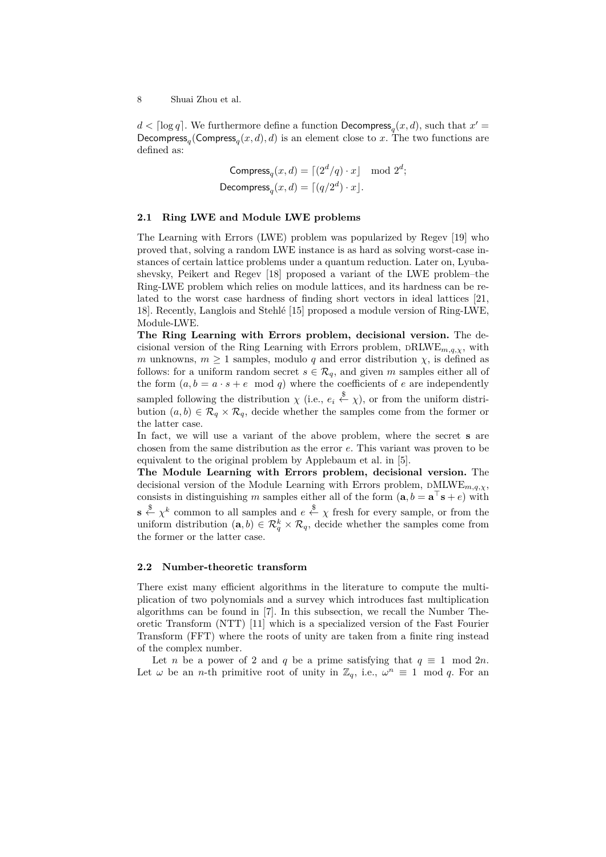$d < \lceil \log q \rceil$ . We furthermore define a function  $\mathsf{Decompress}_q(x, d)$ , such that  $x' =$ Decompress<sub>q</sub>(Compress<sub>q</sub> $(x, d)$ *, d*) is an element close to *x*. The two functions are defined as:

Compress<sub>q</sub>
$$
(x, d) = \lfloor (2^d/q) \cdot x \rfloor \mod 2^d;
$$
  
Decompress<sub>q</sub> $(x, d) = \lfloor (q/2^d) \cdot x \rfloor.$ 

# **2.1 Ring LWE and Module LWE problems**

The Learning with Errors (LWE) problem was popularized by Regev [19] who proved that, solving a random LWE instance is as hard as solving worst-case instances of certain lattice problems under a quantum reduction. Later on, Lyubashevsky, Peikert and Regev [18] proposed a variant of the LWE problem–the Ring-LWE problem which relies on module lattices, and its hardness can be related to the worst case hardness of finding short vectors in ideal lattices [21, 18]. Recently, Langlois and Stehlé [15] proposed a module version of Ring-LWE, Module-LWE.

**The Ring Learning with Errors problem, decisional version.** The decisional version of the Ring Learning with Errors problem,  $\text{DRLWE}_{m,q,\chi}$ , with *m* unknowns,  $m \geq 1$  samples, modulo *q* and error distribution  $\chi$ , is defined as follows: for a uniform random secret  $s \in \mathcal{R}_q$ , and given *m* samples either all of the form  $(a, b = a \cdot s + e \mod q)$  where the coefficients of *e* are independently sampled following the distribution  $\chi$  (i.e.,  $e_i \stackrel{\$}{\leftarrow} \chi$ ), or from the uniform distri-

bution  $(a, b) \in \mathcal{R}_q \times \mathcal{R}_q$ , decide whether the samples come from the former or the latter case.

In fact, we will use a variant of the above problem, where the secret **s** are chosen from the same distribution as the error *e*. This variant was proven to be equivalent to the original problem by Applebaum et al. in [5].

**The Module Learning with Errors problem, decisional version.** The decisional version of the Module Learning with Errors problem, <sup>D</sup>MLWE*m,q,χ*, consists in distinguishing *m* samples either all of the form  $(\mathbf{a}, b = \mathbf{a}^\top \mathbf{s} + e)$  with **s**  $\overset{\$}{\leftarrow} \chi^k$  common to all samples and  $e \overset{\$}{\leftarrow} \chi$  fresh for every sample, or from the uniform distribution  $(\mathbf{a}, b) \in \mathcal{R}_q^k \times \mathcal{R}_q$ , decide whether the samples come from the former or the latter case.

### **2.2 Number-theoretic transform**

There exist many efficient algorithms in the literature to compute the multiplication of two polynomials and a survey which introduces fast multiplication algorithms can be found in [7]. In this subsection, we recall the Number Theoretic Transform (NTT) [11] which is a specialized version of the Fast Fourier Transform (FFT) where the roots of unity are taken from a finite ring instead of the complex number.

Let *n* be a power of 2 and *q* be a prime satisfying that  $q \equiv 1 \mod 2n$ . Let  $\omega$  be an *n*-th primitive root of unity in  $\mathbb{Z}_q$ , i.e.,  $\omega^n \equiv 1 \mod q$ . For an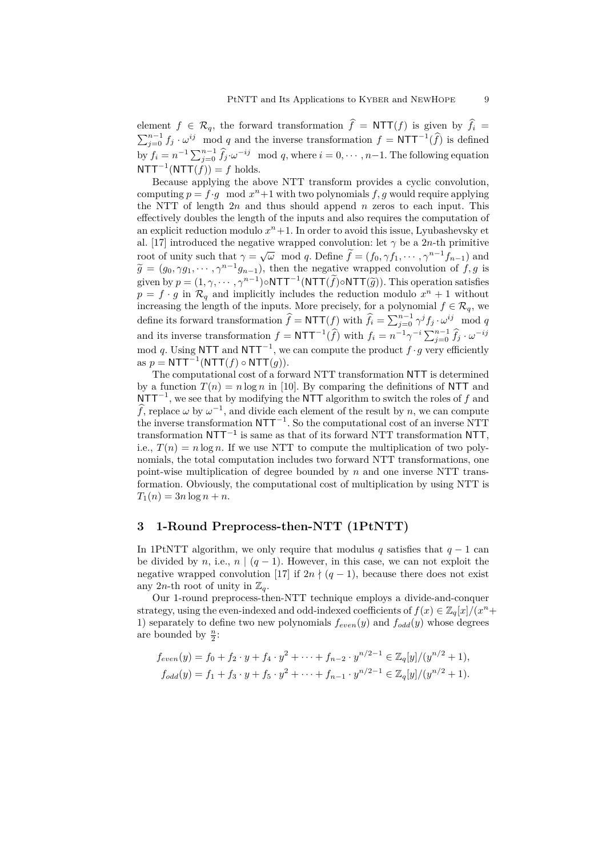element  $f \in \mathcal{R}_q$ , the forward transformation  $f = \text{NTT}(f)$  is given by  $f_i = \sum_{j=0}^{n-1} f_j \cdot \omega^{ij} \mod q$  and the inverse transformation  $f = \text{NTT}^{-1}(\widehat{f})$  is defined by  $f_i = n^{-1} \sum_{j=0}^{n-1} \hat{f}_j \cdot \omega^{-ij} \mod q$ , where  $i = 0, \dots, n-1$ . The following equation  $NTT^{-1}(NTT(f)) = f$  holds.

Because applying the above NTT transform provides a cyclic convolution, computing  $p = f \cdot g \mod x^n + 1$  with two polynomials  $f, g$  would require applying the NTT of length 2*n* and thus should append *n* zeros to each input. This effectively doubles the length of the inputs and also requires the computation of an explicit reduction modulo  $x<sup>n</sup>+1$ . In order to avoid this issue, Lyubashevsky et al. [17] introduced the negative wrapped convolution: let  $\gamma$  be a 2*n*-th primitive  $\alpha$  for  $\alpha$  in the intervent of unity such that  $\gamma = \sqrt{\omega} \mod q$ . Define  $\tilde{f} = (f_0, \gamma f_1, \dots, \gamma^{n-1} f_{n-1})$  and  $\widetilde{g} = (g_0, \gamma g_1, \cdots, \gamma^{n-1} g_{n-1}),$  then the negative wrapped convolution of *f, g* is given by  $p = (1, \gamma, \dots, \gamma^{n-1}) \circ \mathbf{NTT}^{-1} (\mathbf{NTT}(\tilde{f}) \circ \mathbf{NTT}(\tilde{g}))$ . This operation satisfies  $p = f \cdot g$  in  $\mathcal{R}_q$  and implicitly includes the reduction modulo  $x^n + 1$  without increasing the length of the inputs. More precisely, for a polynomial  $f \in \mathcal{R}_q$ , we define its forward transformation  $\hat{f} = \text{NTT}(f)$  with  $\hat{f}_i = \sum_{j=0}^{n-1} \gamma^j f_j \cdot \omega^{ij} \mod q$ and its inverse transformation  $f = \text{NTT}^{-1}(\widehat{f})$  with  $f_i = n^{-1}\gamma^{-i}\sum_{j=0}^{n-1}\widehat{f}_j \cdot \omega^{-ij}$ mod *q*. Using NTT and NTT*−*<sup>1</sup> , we can compute the product *f ·g* very efficiently  $\text{as } p = \textsf{NTT}^{-1}(\textsf{NTT}(f) ∘ \textsf{NTT}(g)).$ 

The computational cost of a forward NTT transformation NTT is determined by a function  $T(n) = n \log n$  in [10]. By comparing the definitions of NTT and NTT*−*<sup>1</sup> , we see that by modifying the NTT algorithm to switch the roles of *f* and  $\widehat{f}$ , replace  $\omega$  by  $\omega^{-1}$ , and divide each element of the result by *n*, we can compute the inverse transformation NTT*−*<sup>1</sup> . So the computational cost of an inverse NTT transformation NTT*−*<sup>1</sup> is same as that of its forward NTT transformation NTT, i.e.,  $T(n) = n \log n$ . If we use NTT to compute the multiplication of two polynomials, the total computation includes two forward NTT transformations, one point-wise multiplication of degree bounded by *n* and one inverse NTT transformation. Obviously, the computational cost of multiplication by using NTT is  $T_1(n) = 3n \log n + n$ .

#### **3 1-Round Preprocess-then-NTT (1PtNTT)**

In 1PtNTT algorithm, we only require that modulus *q* satisfies that  $q - 1$  can be divided by *n*, i.e.,  $n \mid (q-1)$ . However, in this case, we can not exploit the negative wrapped convolution [17] if  $2n \nmid (q-1)$ , because there does not exist any 2*n*-th root of unity in  $\mathbb{Z}_q$ .

Our 1-round preprocess-then-NTT technique employs a divide-and-conquer strategy, using the even-indexed and odd-indexed coefficients of  $f(x) \in \mathbb{Z}_q[x]/(x^n +$ 1) separately to define two new polynomials  $f_{even}(y)$  and  $f_{odd}(y)$  whose degrees are bounded by  $\frac{n}{2}$ :

$$
f_{even}(y) = f_0 + f_2 \cdot y + f_4 \cdot y^2 + \dots + f_{n-2} \cdot y^{n/2-1} \in \mathbb{Z}_q[y]/(y^{n/2} + 1),
$$
  

$$
f_{odd}(y) = f_1 + f_3 \cdot y + f_5 \cdot y^2 + \dots + f_{n-1} \cdot y^{n/2-1} \in \mathbb{Z}_q[y]/(y^{n/2} + 1).
$$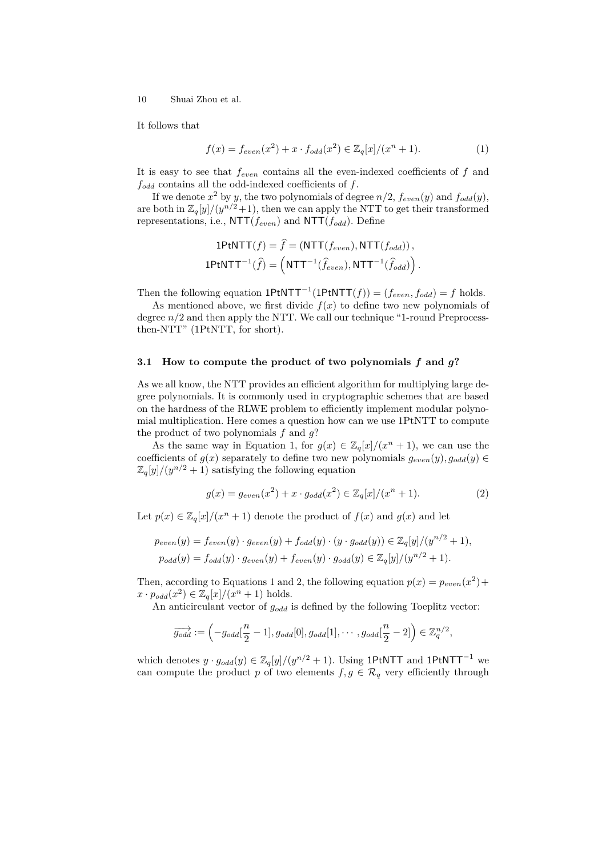It follows that

$$
f(x) = f_{even}(x^2) + x \cdot f_{odd}(x^2) \in \mathbb{Z}_q[x]/(x^n + 1).
$$
 (1)

It is easy to see that *feven* contains all the even-indexed coefficients of *f* and  $f_{odd}$  contains all the odd-indexed coefficients of  $f$ .

If we denote  $x^2$  by *y*, the two polynomials of degree  $n/2$ ,  $f_{even}(y)$  and  $f_{odd}(y)$ , are both in  $\mathbb{Z}_q[y]/(y^{n/2}+1)$ , then we can apply the NTT to get their transformed representations, i.e., NTT(*feven*) and NTT(*fodd*). Define

$$
1\text{PtNTT}(f) = \hat{f} = (\text{NTT}(f_{even}), \text{NTT}(f_{odd})),
$$
  

$$
1\text{PtNTT}^{-1}(\hat{f}) = (\text{NTT}^{-1}(\hat{f}_{even}), \text{NTT}^{-1}(\hat{f}_{odd}))
$$

Then the following equation  $1$ PtNTT<sup> $-1$ </sup> $(1$ PtNTT $(f)) = (f_{even}, f_{odd}) = f$  holds.

As mentioned above, we first divide  $f(x)$  to define two new polynomials of degree  $n/2$  and then apply the NTT. We call our technique "1-round Preprocessthen-NTT" (1PtNTT, for short).

#### **3.1 How to compute the product of two polynomials** *f* **and** *g***?**

As we all know, the NTT provides an efficient algorithm for multiplying large degree polynomials. It is commonly used in cryptographic schemes that are based on the hardness of the RLWE problem to efficiently implement modular polynomial multiplication. Here comes a question how can we use 1PtNTT to compute the product of two polynomials *f* and *g*?

As the same way in Equation 1, for  $g(x) \in \mathbb{Z}_q[x]/(x^n+1)$ , we can use the coefficients of  $g(x)$  separately to define two new polynomials  $g_{even}(y)$ ,  $g_{odd}(y) \in$  $\mathbb{Z}_q[y]/(y^{n/2}+1)$  satisfying the following equation

$$
g(x) = g_{even}(x^2) + x \cdot g_{odd}(x^2) \in \mathbb{Z}_q[x]/(x^n + 1).
$$
 (2)

Let  $p(x) \in \mathbb{Z}_q[x]/(x^n + 1)$  denote the product of  $f(x)$  and  $g(x)$  and let

$$
p_{even}(y) = f_{even}(y) \cdot g_{even}(y) + f_{odd}(y) \cdot (y \cdot g_{odd}(y)) \in \mathbb{Z}_q[y]/(y^{n/2} + 1),
$$
  

$$
p_{odd}(y) = f_{odd}(y) \cdot g_{even}(y) + f_{even}(y) \cdot g_{odd}(y) \in \mathbb{Z}_q[y]/(y^{n/2} + 1).
$$

Then, according to Equations 1 and 2, the following equation  $p(x) = p_{even}(x^2) + p(x)$  $x \cdot p_{odd}(x^2) \in \mathbb{Z}_q[x]/(x^n+1)$  holds.

An anticirculant vector of *godd* is defined by the following Toeplitz vector:

$$
\overrightarrow{g_{odd}} := \left(-g_{odd}[\frac{n}{2}-1], g_{odd}[0], g_{odd}[1], \cdots, g_{odd}[\frac{n}{2}-2]\right) \in \mathbb{Z}_q^{n/2},
$$

which denotes  $y \cdot g_{odd}(y) \in \mathbb{Z}_q[y]/(y^{n/2}+1)$ . Using 1PtNTT and 1PtNTT<sup>-1</sup> we can compute the product *p* of two elements  $f, g \in \mathcal{R}_q$  very efficiently through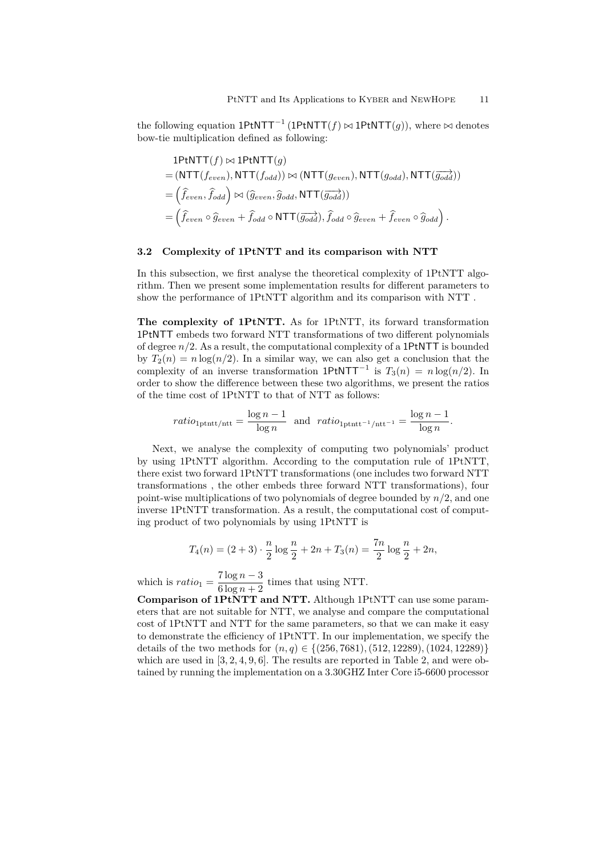the following equation 1PtNTT*−*<sup>1</sup> (1PtNTT(*f*) *▷◁* 1PtNTT(*g*)), where *▷◁* denotes bow-tie multiplication defined as following:

$$
1PHNTT(f) \bowtie 1PHNTT(g)
$$
  
= (NTT(f<sub>even</sub>), NTT(f<sub>odd</sub>))  $\bowtie$  (NTT(g<sub>even</sub>), NTT(g<sub>odd</sub>), NTT(g<sub>odd</sub>))  
=  $\left(\hat{f}_{even}, \hat{f}_{odd}\right) \bowtie (\hat{g}_{even}, \hat{g}_{odd}, NTT(\overline{g_{odd}}))$   
=  $\left(\hat{f}_{even} \circ \hat{g}_{even} + \hat{f}_{odd} \circ NTT(\overline{g_{odd}}), \hat{f}_{odd} \circ \hat{g}_{even} + \hat{f}_{even} \circ \hat{g}_{odd}\right).$ 

# **3.2 Complexity of 1PtNTT and its comparison with NTT**

In this subsection, we first analyse the theoretical complexity of 1PtNTT algorithm. Then we present some implementation results for different parameters to show the performance of 1PtNTT algorithm and its comparison with NTT .

**The complexity of 1PtNTT.** As for 1PtNTT, its forward transformation 1PtNTT embeds two forward NTT transformations of two different polynomials of degree *n/*2. As a result, the computational complexity of a 1PtNTT is bounded by  $T_2(n) = n \log(n/2)$ . In a similar way, we can also get a conclusion that the complexity of an inverse transformation  $1$ PtNTT<sup> $-1$ </sup> is  $T_3(n) = n \log(n/2)$ . In order to show the difference between these two algorithms, we present the ratios of the time cost of 1PtNTT to that of NTT as follows:

$$
ratio_{\text{1ptntt}/\text{ntt}} = \frac{\log n - 1}{\log n} \text{ and } ratio_{\text{1ptntt}^{-1}/\text{ntt}^{-1}} = \frac{\log n - 1}{\log n}.
$$

Next, we analyse the complexity of computing two polynomials' product by using 1PtNTT algorithm. According to the computation rule of 1PtNTT, there exist two forward 1PtNTT transformations (one includes two forward NTT transformations , the other embeds three forward NTT transformations), four point-wise multiplications of two polynomials of degree bounded by *n/*2, and one inverse 1PtNTT transformation. As a result, the computational cost of computing product of two polynomials by using 1PtNTT is

$$
T_4(n) = (2+3) \cdot \frac{n}{2} \log \frac{n}{2} + 2n + T_3(n) = \frac{7n}{2} \log \frac{n}{2} + 2n,
$$

which is  $ratio_1 = \frac{7 \log n - 3}{6 \log n + 2}$  $\frac{1}{6} \frac{\log n}{n+2}$  times that using NTT.

**Comparison of 1PtNTT and NTT.** Although 1PtNTT can use some parameters that are not suitable for NTT, we analyse and compare the computational cost of 1PtNTT and NTT for the same parameters, so that we can make it easy to demonstrate the efficiency of 1PtNTT. In our implementation, we specify the details of the two methods for (*n, q*) *∈ {*(256*,* 7681)*,*(512*,* 12289)*,*(1024*,* 12289)*}* which are used in [3, 2, 4, 9, 6]. The results are reported in Table 2, and were obtained by running the implementation on a 3.30GHZ Inter Core i5-6600 processor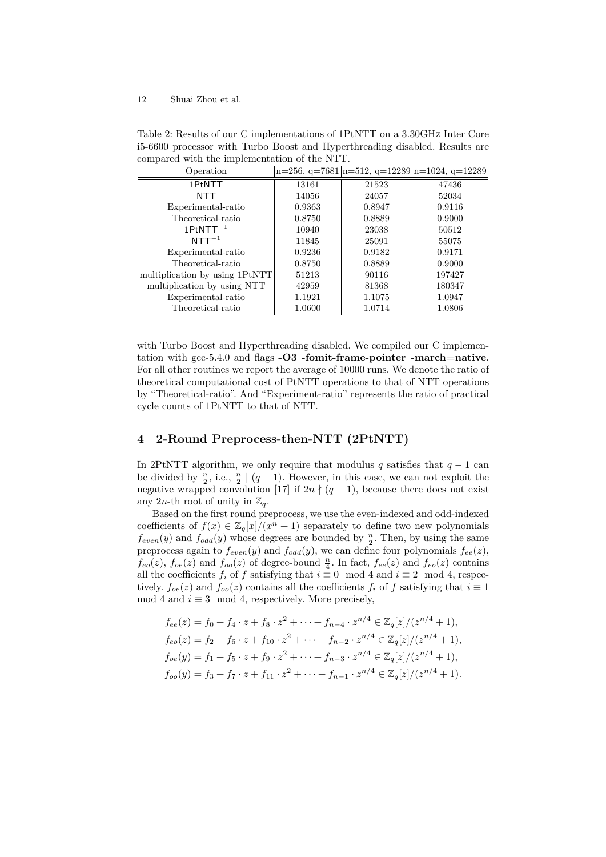| Operation                      |        |        | $n=256$ , $q=7681 n=512$ , $q=12289 n=1024$ , $q=12289$ |
|--------------------------------|--------|--------|---------------------------------------------------------|
| 1PtNTT                         | 13161  | 21523  | 47436                                                   |
| <b>NTT</b>                     | 14056  | 24057  | 52034                                                   |
| Experimental-ratio             | 0.9363 | 0.8947 | 0.9116                                                  |
| Theoretical-ratio              | 0.8750 | 0.8889 | 0.9000                                                  |
| $1PtNTT^{-1}$                  | 10940  | 23038  | 50512                                                   |
| $NTT^{-1}$                     | 11845  | 25091  | 55075                                                   |
| Experimental-ratio             | 0.9236 | 0.9182 | 0.9171                                                  |
| Theoretical-ratio              | 0.8750 | 0.8889 | 0.9000                                                  |
| multiplication by using 1PtNTT | 51213  | 90116  | 197427                                                  |
| multiplication by using NTT    | 42959  | 81368  | 180347                                                  |
| Experimental-ratio             | 1.1921 | 1.1075 | 1.0947                                                  |
| Theoretical-ratio              | 1.0600 | 1.0714 | 1.0806                                                  |

Table 2: Results of our C implementations of 1PtNTT on a 3.30GHZ Inter Core i5-6600 processor with Turbo Boost and Hyperthreading disabled. Results are compared with the implementation of the NTT.

with Turbo Boost and Hyperthreading disabled. We compiled our C implementation with gcc-5.4.0 and flags **-O3 -fomit-frame-pointer -march=native**. For all other routines we report the average of 10000 runs. We denote the ratio of theoretical computational cost of PtNTT operations to that of NTT operations by "Theoretical-ratio". And "Experiment-ratio" represents the ratio of practical cycle counts of 1PtNTT to that of NTT.

# **4 2-Round Preprocess-then-NTT (2PtNTT)**

In 2PtNTT algorithm, we only require that modulus *q* satisfies that  $q - 1$  can be divided by  $\frac{n}{2}$ , i.e.,  $\frac{n}{2}$  | (*q* − 1). However, in this case, we can not exploit the negative wrapped convolution [17] if  $2n \nmid (q-1)$ , because there does not exist any 2*n*-th root of unity in  $\mathbb{Z}_q$ .

Based on the first round preprocess, we use the even-indexed and odd-indexed coefficients of  $f(x) \in \mathbb{Z}_q[x]/(x^n + 1)$  separately to define two new polynomials  $f_{even}(y)$  and  $f_{odd}(y)$  whose degrees are bounded by  $\frac{n}{2}$ . Then, by using the same preprocess again to  $f_{even}(y)$  and  $f_{odd}(y)$ , we can define four polynomials  $f_{ee}(z)$ ,  $f_{eo}(z)$ ,  $f_{oe}(z)$  and  $f_{oo}(z)$  of degree-bound  $\frac{n}{4}$ . In fact,  $f_{ee}(z)$  and  $f_{eo}(z)$  contains all the coefficients  $f_i$  of  $f$  satisfying that  $i \equiv 0 \mod 4$  and  $i \equiv 2 \mod 4$ , respectively.  $f_{oe}(z)$  and  $f_{oo}(z)$  contains all the coefficients  $f_i$  of  $f$  satisfying that  $i \equiv 1$ mod 4 and  $i \equiv 3 \mod 4$ , respectively. More precisely,

$$
f_{ee}(z) = f_0 + f_4 \cdot z + f_8 \cdot z^2 + \dots + f_{n-4} \cdot z^{n/4} \in \mathbb{Z}_q[z]/(z^{n/4} + 1),
$$
  
\n
$$
f_{eo}(z) = f_2 + f_6 \cdot z + f_{10} \cdot z^2 + \dots + f_{n-2} \cdot z^{n/4} \in \mathbb{Z}_q[z]/(z^{n/4} + 1),
$$
  
\n
$$
f_{oe}(y) = f_1 + f_5 \cdot z + f_9 \cdot z^2 + \dots + f_{n-3} \cdot z^{n/4} \in \mathbb{Z}_q[z]/(z^{n/4} + 1),
$$
  
\n
$$
f_{oo}(y) = f_3 + f_7 \cdot z + f_{11} \cdot z^2 + \dots + f_{n-1} \cdot z^{n/4} \in \mathbb{Z}_q[z]/(z^{n/4} + 1).
$$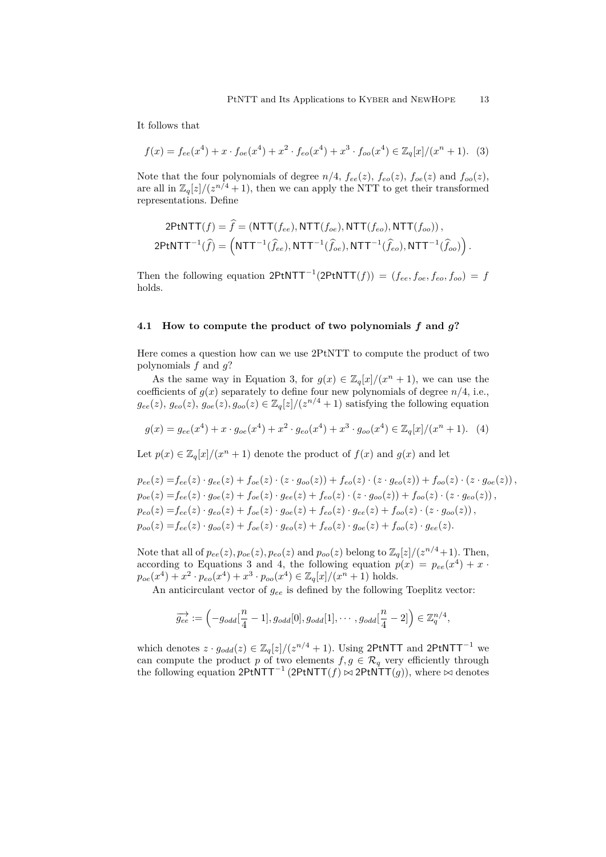It follows that

$$
f(x) = f_{ee}(x^4) + x \cdot f_{oe}(x^4) + x^2 \cdot f_{eo}(x^4) + x^3 \cdot f_{oo}(x^4) \in \mathbb{Z}_q[x]/(x^n + 1). \tag{3}
$$

Note that the four polynomials of degree  $n/4$ ,  $f_{ee}(z)$ ,  $f_{ee}(z)$ ,  $f_{oe}(z)$  and  $f_{oo}(z)$ , are all in  $\mathbb{Z}_q[z]/(z^{n/4}+1)$ , then we can apply the NTT to get their transformed representations. Define

$$
2\text{PtNTT}(f) = \hat{f} = (\text{NTT}(f_{ee}), \text{NTT}(f_{oe}), \text{NTT}(f_{eo}), \text{NTT}(f_{oo})),
$$
  

$$
2\text{PtNTT}^{-1}(\hat{f}) = (\text{NTT}^{-1}(\hat{f}_{ee}), \text{NTT}^{-1}(\hat{f}_{oe}), \text{NTT}^{-1}(\hat{f}_{eo}), \text{NTT}^{-1}(\hat{f}_{oo}))
$$

Then the following equation  $2PtNTT^{-1}(2PtNTT(f)) = (f_{ee}, f_{oe}, f_{eo}, f_{oo}) = f$ holds.

### **4.1 How to compute the product of two polynomials** *f* **and** *g***?**

Here comes a question how can we use 2PtNTT to compute the product of two polynomials *f* and *g*?

As the same way in Equation 3, for  $g(x) \in \mathbb{Z}_q[x]/(x^n+1)$ , we can use the coefficients of  $g(x)$  separately to define four new polynomials of degree  $n/4$ , i.e.,  $g_{ee}(z)$ ,  $g_{eo}(z)$ ,  $g_{oe}(z)$ ,  $g_{oo}(z) \in \mathbb{Z}_q[z]/(z^{n/4}+1)$  satisfying the following equation

$$
g(x) = g_{ee}(x^4) + x \cdot g_{oe}(x^4) + x^2 \cdot g_{eo}(x^4) + x^3 \cdot g_{oo}(x^4) \in \mathbb{Z}_q[x]/(x^n+1). \tag{4}
$$

Let  $p(x) \in \mathbb{Z}_q[x]/(x^n + 1)$  denote the product of  $f(x)$  and  $g(x)$  and let

$$
p_{ee}(z) = f_{ee}(z) \cdot g_{ee}(z) + f_{oe}(z) \cdot (z \cdot g_{oo}(z)) + f_{eo}(z) \cdot (z \cdot g_{eo}(z)) + f_{oo}(z) \cdot (z \cdot g_{oe}(z)),
$$
  
\n
$$
p_{oe}(z) = f_{ee}(z) \cdot g_{oe}(z) + f_{oe}(z) \cdot g_{ee}(z) + f_{eo}(z) \cdot (z \cdot g_{oo}(z)) + f_{oo}(z) \cdot (z \cdot g_{eo}(z)),
$$
  
\n
$$
p_{eo}(z) = f_{ee}(z) \cdot g_{eo}(z) + f_{oe}(z) \cdot g_{oe}(z) + f_{eo}(z) \cdot g_{ee}(z) + f_{oo}(z) \cdot (z \cdot g_{oo}(z)),
$$
  
\n
$$
p_{oo}(z) = f_{ee}(z) \cdot g_{oo}(z) + f_{oe}(z) \cdot g_{eo}(z) + f_{eo}(z) \cdot g_{oe}(z) + f_{oo}(z) \cdot g_{ee}(z).
$$

Note that all of  $p_{ee}(z), p_{oe}(z), p_{eo}(z)$  and  $p_{oo}(z)$  belong to  $\mathbb{Z}_q[z]/(z^{n/4}+1)$ . Then, according to Equations 3 and 4, the following equation  $p(x) = p_{ee}(x^4) + x$  $p_{oe}(x^4) + x^2 \cdot p_{eo}(x^4) + x^3 \cdot p_{oo}(x^4) \in \mathbb{Z}_q[x]/(x^n+1)$  holds.

An anticirculant vector of  $g_{ee}$  is defined by the following Toeplitz vector:

$$
\overrightarrow{g_{ee}} := \left(-g_{odd}[\frac{n}{4}-1], g_{odd}[0], g_{odd}[1], \cdots, g_{odd}[\frac{n}{4}-2]\right) \in \mathbb{Z}_q^{n/4},
$$

which denotes  $z \cdot g_{odd}(z) \in \mathbb{Z}_q[z]/(z^{n/4}+1)$ . Using 2PtNTT and 2PtNTT<sup>-1</sup> we can compute the product *p* of two elements  $f, g \in \mathcal{R}_q$  very efficiently through the following equation 2PtNTT*−*<sup>1</sup> (2PtNTT(*f*) *▷◁* 2PtNTT(*g*)), where *▷◁* denotes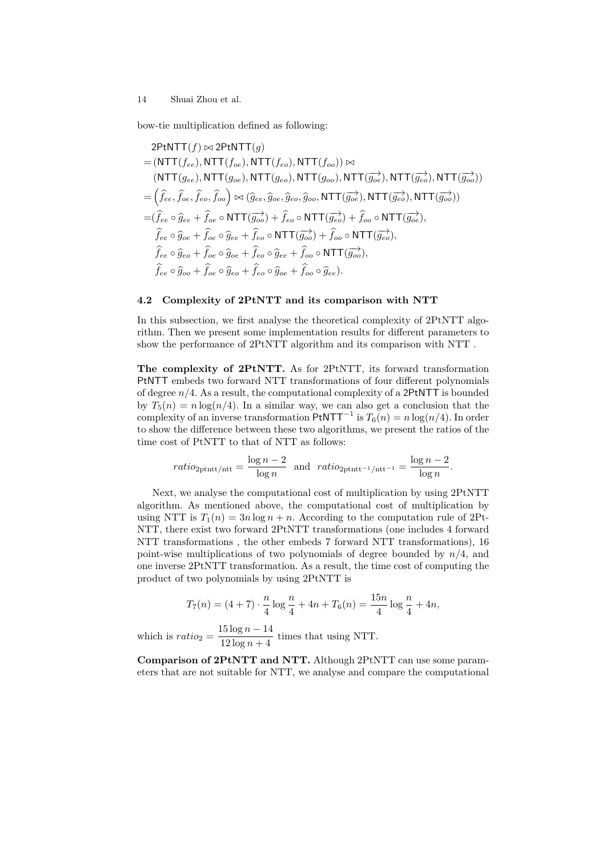bow-tie multiplication defined as following:

$$
2PtNTT(f) \bowtie 2PtNTT(g)
$$
\n
$$
= (NTT(f_{ee}), NTT(f_{oe}), NTT(f_{eo}), NTT(f_{oo})) \bowtie
$$
\n
$$
(NTT(g_{ee}), NTT(g_{ee}), NTT(g_{eo}), NTT(g_{oo}), NTT(g_{oe}), NTT(g_{oe}^{\rightarrow}), NTT(g_{eo}^{\rightarrow}))
$$
\n
$$
= (\hat{f}_{ee}, \hat{f}_{oe}, \hat{f}_{eo}, \hat{f}_{oo}) \bowtie (\hat{g}_{ee}, \hat{g}_{oe}, \hat{g}_{eo}, \hat{g}_{oo}, NTT(g_{oe}^{\rightarrow}), NTT(g_{eo}^{\rightarrow}), NTT(g_{oo}^{\rightarrow}))
$$
\n
$$
= (\hat{f}_{ee} \circ \hat{g}_{ee} + \hat{f}_{oe} \circ NTT(g_{oo}^{\rightarrow}) + \hat{f}_{eo} \circ NTT(g_{eo}^{\rightarrow}) + \hat{f}_{oo} \circ NTT(g_{oe}^{\rightarrow}),
$$
\n
$$
\hat{f}_{ee} \circ \hat{g}_{ee} + \hat{f}_{oe} \circ \hat{g}_{ee} + \hat{f}_{eo} \circ \hat{g}_{ee} + \hat{f}_{oo} \circ NTT(g_{oo}^{\rightarrow}),
$$
\n
$$
\hat{f}_{ee} \circ \hat{g}_{eo} + \hat{f}_{oe} \circ \hat{g}_{oe} + \hat{f}_{eo} \circ \hat{g}_{ee} + \hat{f}_{oo} \circ NTT(g_{oo}^{\rightarrow}),
$$
\n
$$
\hat{f}_{ee} \circ \hat{g}_{oo} + \hat{f}_{oe} \circ \hat{g}_{eo} + \hat{f}_{eo} \circ \hat{g}_{oe} + \hat{f}_{oo} \circ \hat{g}_{ee}).
$$

#### **4.2 Complexity of 2PtNTT and its comparison with NTT**

In this subsection, we first analyse the theoretical complexity of 2PtNTT algorithm. Then we present some implementation results for different parameters to show the performance of 2PtNTT algorithm and its comparison with NTT .

**The complexity of 2PtNTT.** As for 2PtNTT, its forward transformation PtNTT embeds two forward NTT transformations of four different polynomials of degree *n/*4. As a result, the computational complexity of a 2PtNTT is bounded by  $T_5(n) = n \log(n/4)$ . In a similar way, we can also get a conclusion that the complexity of an inverse transformation  $PtNTT^{-1}$  is  $T_6(n) = n \log(n/4)$ . In order to show the difference between these two algorithms, we present the ratios of the time cost of PtNTT to that of NTT as follows:

$$
ratio_{2ptntt/ntt} = \frac{\log n - 2}{\log n} \text{ and } ratio_{2ptntt^{-1}/ntt^{-1}} = \frac{\log n - 2}{\log n}.
$$

Next, we analyse the computational cost of multiplication by using 2PtNTT algorithm. As mentioned above, the computational cost of multiplication by using NTT is  $T_1(n) = 3n \log n + n$ . According to the computation rule of 2Pt-NTT, there exist two forward 2PtNTT transformations (one includes 4 forward NTT transformations , the other embeds 7 forward NTT transformations), 16 point-wise multiplications of two polynomials of degree bounded by *n/*4, and one inverse 2PtNTT transformation. As a result, the time cost of computing the product of two polynomials by using 2PtNTT is

$$
T_7(n) = (4+7) \cdot \frac{n}{4} \log \frac{n}{4} + 4n + T_6(n) = \frac{15n}{4} \log \frac{n}{4} + 4n,
$$

which is  $ratio_2 = \frac{15 \log n - 14}{12 \log n + 4}$  $\frac{12 \log n + 11}{12 \log n + 4}$  times that using NTT.

**Comparison of 2PtNTT and NTT.** Although 2PtNTT can use some parameters that are not suitable for NTT, we analyse and compare the computational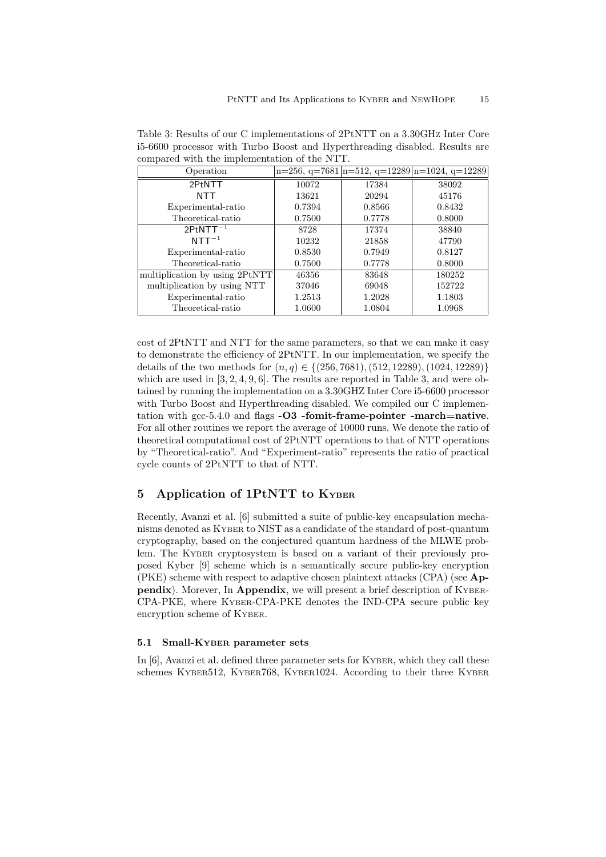| Operation                      |        |        | $n=256$ , $q=7681 n=512$ , $q=12289 n=1024$ , $q=12289$ |
|--------------------------------|--------|--------|---------------------------------------------------------|
| 2PtNTT                         | 10072  | 17384  | 38092                                                   |
| NTT                            | 13621  | 20294  | 45176                                                   |
| Experimental-ratio             | 0.7394 | 0.8566 | 0.8432                                                  |
| Theoretical-ratio              | 0.7500 | 0.7778 | 0.8000                                                  |
| $2PtNTT^{-1}$                  | 8728   | 17374  | 38840                                                   |
| $NTT^{-1}$                     | 10232  | 21858  | 47790                                                   |
| Experimental-ratio             | 0.8530 | 0.7949 | 0.8127                                                  |
| Theoretical-ratio              | 0.7500 | 0.7778 | 0.8000                                                  |
| multiplication by using 2PtNTT | 46356  | 83648  | 180252                                                  |
| multiplication by using NTT    | 37046  | 69048  | 152722                                                  |
| Experimental-ratio             | 1.2513 | 1.2028 | 1.1803                                                  |
| Theoretical-ratio              | 1.0600 | 1.0804 | 1.0968                                                  |

Table 3: Results of our C implementations of 2PtNTT on a 3.30GHZ Inter Core i5-6600 processor with Turbo Boost and Hyperthreading disabled. Results are compared with the implementation of the NTT.

cost of 2PtNTT and NTT for the same parameters, so that we can make it easy to demonstrate the efficiency of 2PtNTT. In our implementation, we specify the details of the two methods for (*n, q*) *∈ {*(256*,* 7681)*,*(512*,* 12289)*,*(1024*,* 12289)*}* which are used in [3, 2, 4, 9, 6]. The results are reported in Table 3, and were obtained by running the implementation on a 3.30GHZ Inter Core i5-6600 processor with Turbo Boost and Hyperthreading disabled. We compiled our C implementation with gcc-5.4.0 and flags **-O3 -fomit-frame-pointer -march=native**. For all other routines we report the average of 10000 runs. We denote the ratio of theoretical computational cost of 2PtNTT operations to that of NTT operations by "Theoretical-ratio". And "Experiment-ratio" represents the ratio of practical cycle counts of 2PtNTT to that of NTT.

# **5 Application of 1PtNTT to KYBER**

Recently, Avanzi et al. [6] submitted a suite of public-key encapsulation mechanisms denoted as KYBER to NIST as a candidate of the standard of post-quantum cryptography, based on the conjectured quantum hardness of the MLWE problem. The KYBER cryptosystem is based on a variant of their previously proposed Kyber [9] scheme which is a semantically secure public-key encryption (PKE) scheme with respect to adaptive chosen plaintext attacks (CPA) (see **Appendix**). Morever, In **Appendix**, we will present a brief description of KYBER-CPA-PKE, where KYBER-CPA-PKE denotes the IND-CPA secure public key encryption scheme of KYBER.

#### **5.1 Small-KYBER parameter sets**

In [6], Avanzi et al. defined three parameter sets for KYBER, which they call these schemes KYBER512, KYBER768, KYBER1024. According to their three KYBER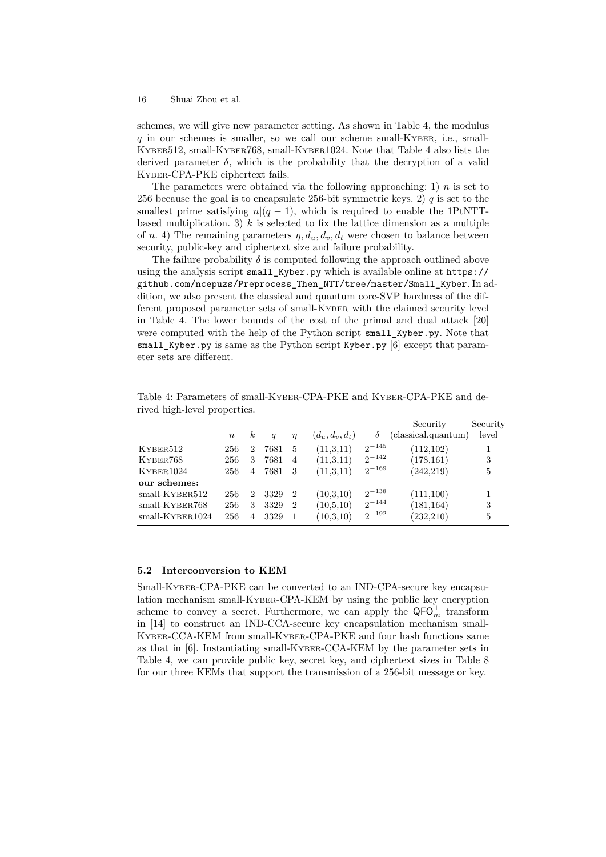schemes, we will give new parameter setting. As shown in Table 4, the modulus *q* in our schemes is smaller, so we call our scheme small-KYBER, i.e., small-KYBER512, small-KYBER768, small-KYBER1024. Note that Table 4 also lists the derived parameter  $\delta$ , which is the probability that the decryption of a valid KYBER-CPA-PKE ciphertext fails.

The parameters were obtained via the following approaching: 1)  $n$  is set to 256 because the goal is to encapsulate 256-bit symmetric keys. 2) *q* is set to the smallest prime satisfying  $n/(q-1)$ , which is required to enable the 1PtNTTbased multiplication. 3)  $k$  is selected to fix the lattice dimension as a multiple of *n*. 4) The remaining parameters  $\eta$ ,  $d_u$ ,  $d_v$ ,  $d_t$  were chosen to balance between security, public-key and ciphertext size and failure probability.

The failure probability  $\delta$  is computed following the approach outlined above using the analysis script small\_Kyber.py which is available online at https:// github.com/ncepuzs/Preprocess\_Then\_NTT/tree/master/Small\_Kyber. In addition, we also present the classical and quantum core-SVP hardness of the different proposed parameter sets of small-KYBER with the claimed security level in Table 4. The lower bounds of the cost of the primal and dual attack [20] were computed with the help of the Python script small\_Kyber.py. Note that small\_Kyber.py is same as the Python script Kyber.py [6] except that parameter sets are different.

|                    |                  |    |                  |                |                   |            | Security            | Security |
|--------------------|------------------|----|------------------|----------------|-------------------|------------|---------------------|----------|
|                    | $\boldsymbol{n}$ | k. | $\boldsymbol{q}$ | $\eta$         | $(d_u, d_v, d_t)$ | δ          | (classical,quantum) | level    |
| KYBER512           | 256              | 2  | 7681             | 5              | (11,3,11)         | $2^{-145}$ | (112, 102)          |          |
| KYBER768           | 256              | 3  | 7681             | 4              | (11,3,11)         | $2^{-142}$ | (178, 161)          | 3        |
| KYBER1024          | 256              | 4  | 7681             | 3              | (11,3,11)         | $2^{-169}$ | (242, 219)          | 5        |
| our schemes:       |                  |    |                  |                |                   |            |                     |          |
| $small$ -KYBER512  | 256              | '2 | 3329             | $\overline{2}$ | (10,3,10)         | $2^{-138}$ | (111,100)           |          |
| $small$ -KYBER768  | 256              | 3  | 3329             | $\overline{2}$ | (10,5,10)         | $2^{-144}$ | (181, 164)          | 3        |
| $small$ -KYBER1024 | 256              |    | 3329             |                | (10,3,10)         | $2^{-192}$ | (232, 210)          | 5        |

Table 4: Parameters of small-KYBER-CPA-PKE and KYBER-CPA-PKE and derived high-level properties.

#### **5.2 Interconversion to KEM**

Small-KYBER-CPA-PKE can be converted to an IND-CPA-secure key encapsulation mechanism small-KYBER-CPA-KEM by using the public key encryption scheme to convey a secret. Furthermore, we can apply the  $\mathsf{QFO}_{m}^{\perp}$  transform in [14] to construct an IND-CCA-secure key encapsulation mechanism small-KYBER-CCA-KEM from small-KYBER-CPA-PKE and four hash functions same as that in [6]. Instantiating small-KYBER-CCA-KEM by the parameter sets in Table 4, we can provide public key, secret key, and ciphertext sizes in Table 8 for our three KEMs that support the transmission of a 256-bit message or key.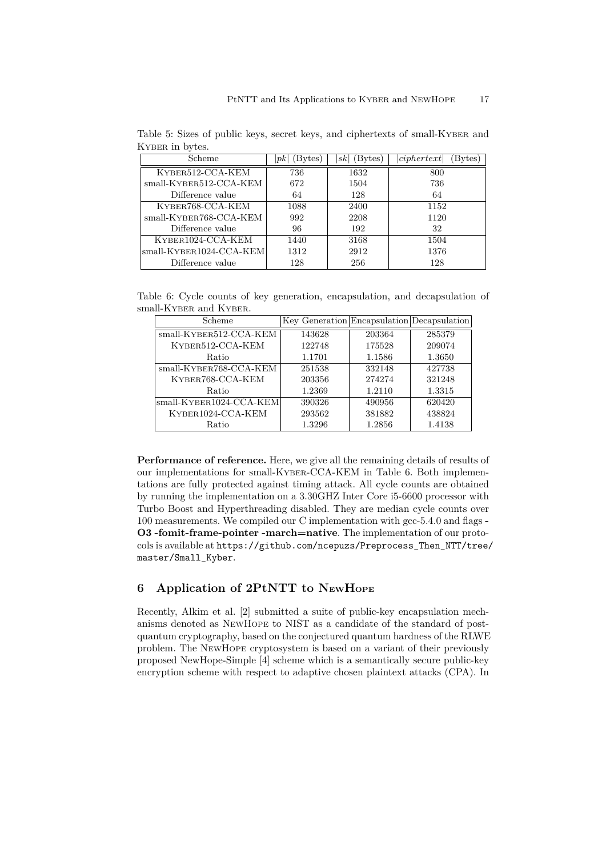| Scheme                    | Bytes)<br>$ p\kappa $ | Bytes)<br>sk | ciphertext<br>Bytes |  |
|---------------------------|-----------------------|--------------|---------------------|--|
| KYBER512-CCA-KEM          | 736                   | 1632         | 800                 |  |
| $small$ -KYBER512-CCA-KEM | 672                   | 1504         | 736                 |  |
| Difference value          | 64                    | 128          | 64                  |  |
| KYBER768-CCA-KEM          | 1088                  | 2400         | 1152                |  |
| small-KYBER768-CCA-KEM    | 992                   | 2208         | 1120                |  |
| Difference value          | 96                    | 192          | 32                  |  |
| KYBER1024-CCA-KEM         | 1440                  | 3168         | 1504                |  |
| small-KYBER1024-CCA-KEM   | 1312                  | 2912         | 1376                |  |
| Difference value          | 128                   | 256          | 128                 |  |

Table 5: Sizes of public keys, secret keys, and ciphertexts of small-KYBER and KYBER in bytes.

Table 6: Cycle counts of key generation, encapsulation, and decapsulation of small-KYBER and KYBER.

| Scheme                                          | Key Generation Encapsulation Decapsulation |        |        |
|-------------------------------------------------|--------------------------------------------|--------|--------|
| $small$ -KYBER512-CCA-KEM                       | 143628                                     | 203364 | 285379 |
| KYBER512-CCA-KEM                                | 122748                                     | 175528 | 209074 |
| Ratio                                           | 1.1701                                     | 1.1586 | 1.3650 |
| small-KYBER768-CCA-KEM                          | 251538                                     | 332148 | 427738 |
| KYBER768-CCA-KEM                                | 203356                                     | 274274 | 321248 |
| Ratio                                           | 1.2369                                     | 1.2110 | 1.3315 |
| $\left  \text{small-KyBER1024-CCA-KEM} \right $ | 390326                                     | 490956 | 620420 |
| KYBER1024-CCA-KEM                               | 293562                                     | 381882 | 438824 |
| Ratio                                           | 1.3296                                     | 1.2856 | 1.4138 |

**Performance of reference.** Here, we give all the remaining details of results of our implementations for small-KYBER-CCA-KEM in Table 6. Both implementations are fully protected against timing attack. All cycle counts are obtained by running the implementation on a 3.30GHZ Inter Core i5-6600 processor with Turbo Boost and Hyperthreading disabled. They are median cycle counts over 100 measurements. We compiled our C implementation with gcc-5.4.0 and flags **- O3 -fomit-frame-pointer -march=native**. The implementation of our protocols is available at https://github.com/ncepuzs/Preprocess\_Then\_NTT/tree/ master/Small\_Kyber.

# **6 Application of 2PtNTT to NEWHOPE**

Recently, Alkim et al. [2] submitted a suite of public-key encapsulation mechanisms denoted as NEWHOPE to NIST as a candidate of the standard of postquantum cryptography, based on the conjectured quantum hardness of the RLWE problem. The NEWHOPE cryptosystem is based on a variant of their previously proposed NewHope-Simple [4] scheme which is a semantically secure public-key encryption scheme with respect to adaptive chosen plaintext attacks (CPA). In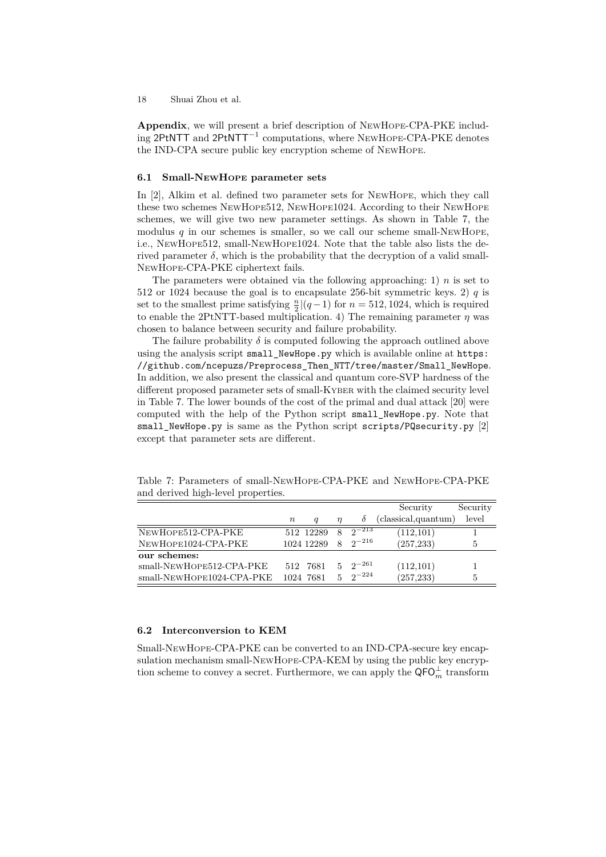**Appendix**, we will present a brief description of NEWHOPE-CPA-PKE including 2PtNTT and 2PtNTT*−*<sup>1</sup> computations, where NEWHOPE-CPA-PKE denotes the IND-CPA secure public key encryption scheme of NEWHOPE.

#### **6.1 Small-NEWHOPE parameter sets**

In [2], Alkim et al. defined two parameter sets for NEWHOPE, which they call these two schemes NEWHOPE512, NEWHOPE1024. According to their NEWHOPE schemes, we will give two new parameter settings. As shown in Table 7, the modulus  $q$  in our schemes is smaller, so we call our scheme small-NEWHOPE, i.e., NEWHOPE512, small-NEWHOPE1024. Note that the table also lists the derived parameter  $\delta$ , which is the probability that the decryption of a valid small-NEWHOPE-CPA-PKE ciphertext fails.

The parameters were obtained via the following approaching: 1)  $n$  is set to 512 or 1024 because the goal is to encapsulate 256-bit symmetric keys. 2)  $q$  is set to the smallest prime satisfying  $\frac{n}{2} |(q-1)$  for  $n = 512, 1024$ , which is required to enable the 2PtNTT-based multiplication. 4) The remaining parameter  $\eta$  was chosen to balance between security and failure probability.

The failure probability  $\delta$  is computed following the approach outlined above using the analysis script small\_NewHope.py which is available online at https: //github.com/ncepuzs/Preprocess\_Then\_NTT/tree/master/Small\_NewHope. In addition, we also present the classical and quantum core-SVP hardness of the different proposed parameter sets of small-KYBER with the claimed security level in Table 7. The lower bounds of the cost of the primal and dual attack [20] were computed with the help of the Python script small\_NewHope.py. Note that small\_NewHope.py is same as the Python script scripts/PQsecurity.py [2] except that parameter sets are different.

|                           |                  |            |                |                | Security             | Security |
|---------------------------|------------------|------------|----------------|----------------|----------------------|----------|
|                           | $\boldsymbol{n}$ | a          | η              | 0              | (classical, quantum) | level    |
| NEWHOPE512-CPA-PKE        |                  | 512 12289  | 8              | $2^{-213}$     | (112,101)            |          |
| NEWHOPE1024-CPA-PKE       |                  | 1024 12289 | 8              | $2^{-216}$     | (257, 233)           | 5        |
| our schemes:              |                  |            |                |                |                      |          |
| small-NEWHOPE512-CPA-PKE  |                  | 512 7681   |                | $5 \t2^{-261}$ | (112,101)            |          |
| small-NEWHOPE1024-CPA-PKE |                  | 1024 7681  | 5 <sup>1</sup> | $2^{-224}$     | (257, 233)           | 5        |

Table 7: Parameters of small-NEWHOPE-CPA-PKE and NEWHOPE-CPA-PKE and derived high-level properties.

#### **6.2 Interconversion to KEM**

Small-NEWHOPE-CPA-PKE can be converted to an IND-CPA-secure key encapsulation mechanism small-NEWHOPE-CPA-KEM by using the public key encryption scheme to convey a secret. Furthermore, we can apply the  $\mathsf{QFO}_{m}^{\perp}$  transform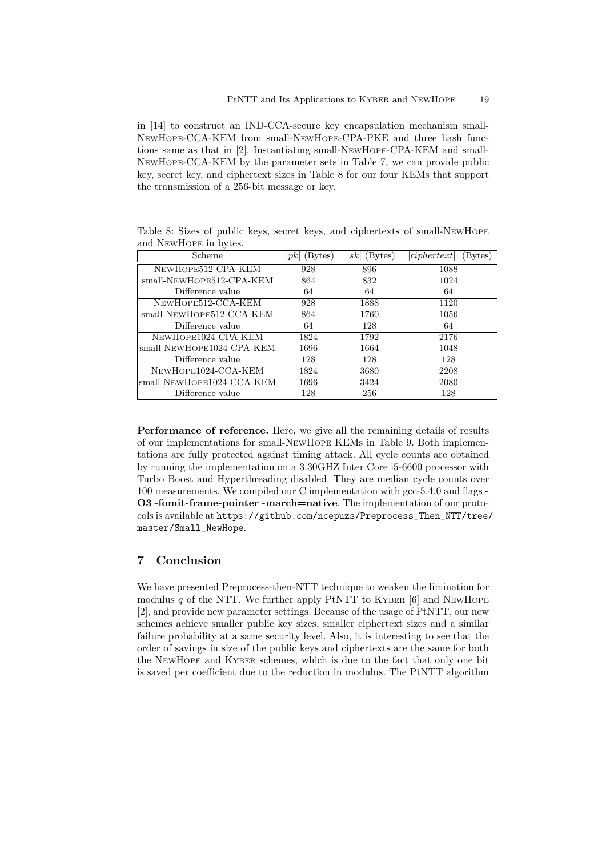in [14] to construct an IND-CCA-secure key encapsulation mechanism small-NEWHOPE-CCA-KEM from small-NEWHOPE-CPA-PKE and three hash functions same as that in [2]. Instantiating small-NEWHOPE-CPA-KEM and small-NEWHOPE-CCA-KEM by the parameter sets in Table 7, we can provide public key, secret key, and ciphertext sizes in Table 8 for our four KEMs that support the transmission of a 256-bit message or key.

| Scheme                    | Bytes)<br>pk | (Bytes)<br> sk | ciphertext<br>Bytes) |
|---------------------------|--------------|----------------|----------------------|
| NEWHOPE512-CPA-KEM        | 928          | 896            | 1088                 |
| small-NEWHOPE512-CPA-KEM  | 864          | 832            | 1024                 |
| Difference value          | 64           | 64             | 64                   |
| NEWHOPE512-CCA-KEM        | 928          | 1888           | 1120                 |
| small-NEWHOPE512-CCA-KEM  | 864          | 1760           | 1056                 |
| Difference value          | 64           | 128            | 64                   |
| NEWHOPE1024-CPA-KEM       | 1824         | 1792           | 2176                 |
| small-NEWHOPE1024-CPA-KEM | 1696         | 1664           | 1048                 |
| Difference value          | 128          | 128            | 128                  |
| NEWHOPE1024-CCA-KEM       | 1824         | 3680           | 2208                 |
| small-NEWHOPE1024-CCA-KEM | 1696         | 3424           | 2080                 |
| Difference value          | 128          | 256            | 128                  |

Table 8: Sizes of public keys, secret keys, and ciphertexts of small-NEWHOPE and NEWHOPE in bytes.

**Performance of reference.** Here, we give all the remaining details of results of our implementations for small-NEWHOPE KEMs in Table 9. Both implementations are fully protected against timing attack. All cycle counts are obtained by running the implementation on a 3.30GHZ Inter Core i5-6600 processor with Turbo Boost and Hyperthreading disabled. They are median cycle counts over 100 measurements. We compiled our C implementation with gcc-5.4.0 and flags **- O3 -fomit-frame-pointer -march=native**. The implementation of our protocols is available at https://github.com/ncepuzs/Preprocess\_Then\_NTT/tree/ master/Small\_NewHope.

### **7 Conclusion**

We have presented Preprocess-then-NTT technique to weaken the limination for modulus  $q$  of the NTT. We further apply PtNTT to KYBER  $[6]$  and NEWHOPE [2], and provide new parameter settings. Because of the usage of PtNTT, our new schemes achieve smaller public key sizes, smaller ciphertext sizes and a similar failure probability at a same security level. Also, it is interesting to see that the order of savings in size of the public keys and ciphertexts are the same for both the NEWHOPE and KYBER schemes, which is due to the fact that only one bit is saved per coefficient due to the reduction in modulus. The PtNTT algorithm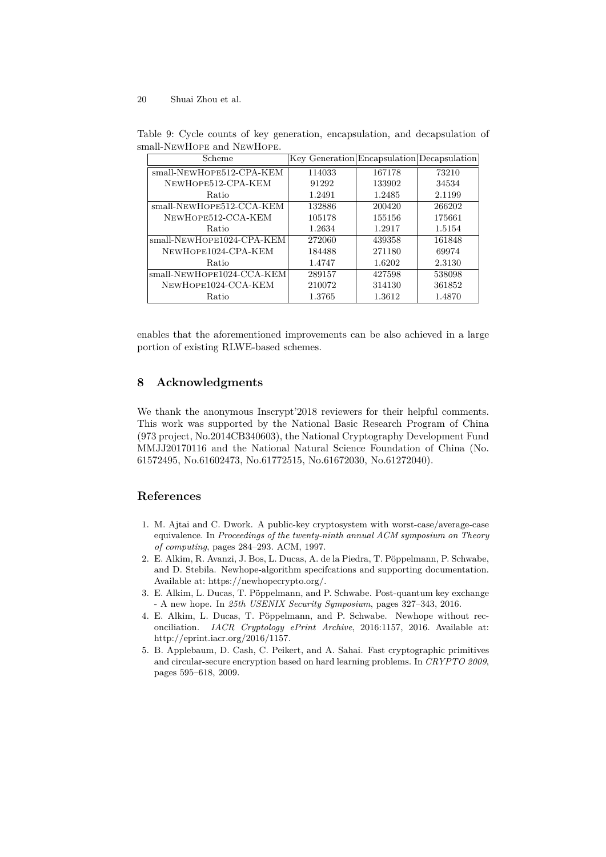| Scheme                    | Key Generation Encapsulation Decapsulation |        |        |
|---------------------------|--------------------------------------------|--------|--------|
| small-NEWHOPE512-CPA-KEM  | 114033                                     | 167178 | 73210  |
| NEWHOPE512-CPA-KEM        | 91292                                      | 133902 | 34534  |
| Ratio                     | 1.2491                                     | 1.2485 | 2.1199 |
| small-NEWHOPE512-CCA-KEM  | 132886                                     | 200420 | 266202 |
| NEWHOPE512-CCA-KEM        | 105178                                     | 155156 | 175661 |
| Ratio                     | 1.2634                                     | 1.2917 | 1.5154 |
| small-NEWHOPE1024-CPA-KEM | 272060                                     | 439358 | 161848 |
| NEWHOPE1024-CPA-KEM       | 184488                                     | 271180 | 69974  |
| Ratio                     | 1.4747                                     | 1.6202 | 2.3130 |
| small-NEWHOPE1024-CCA-KEM | 289157                                     | 427598 | 538098 |
| NEWHOPE1024-CCA-KEM       | 210072                                     | 314130 | 361852 |
| Ratio                     | 1.3765                                     | 1.3612 | 1.4870 |

Table 9: Cycle counts of key generation, encapsulation, and decapsulation of small-NEWHOPE and NEWHOPE.

enables that the aforementioned improvements can be also achieved in a large portion of existing RLWE-based schemes.

# **8 Acknowledgments**

We thank the anonymous Inscrypt'2018 reviewers for their helpful comments. This work was supported by the National Basic Research Program of China (973 project, No.2014CB340603), the National Cryptography Development Fund MMJJ20170116 and the National Natural Science Foundation of China (No. 61572495, No.61602473, No.61772515, No.61672030, No.61272040).

# **References**

- 1. M. Ajtai and C. Dwork. A public-key cryptosystem with worst-case/average-case equivalence. In *Proceedings of the twenty-ninth annual ACM symposium on Theory of computing*, pages 284–293. ACM, 1997.
- 2. E. Alkim, R. Avanzi, J. Bos, L. Ducas, A. de la Piedra, T. Pöppelmann, P. Schwabe, and D. Stebila. Newhope-algorithm specifcations and supporting documentation. Available at: https://newhopecrypto.org/.
- 3. E. Alkim, L. Ducas, T. Pöppelmann, and P. Schwabe. Post-quantum key exchange - A new hope. In *25th USENIX Security Symposium*, pages 327–343, 2016.
- 4. E. Alkim, L. Ducas, T. Pöppelmann, and P. Schwabe. Newhope without reconciliation. *IACR Cryptology ePrint Archive*, 2016:1157, 2016. Available at: http://eprint.iacr.org/2016/1157.
- 5. B. Applebaum, D. Cash, C. Peikert, and A. Sahai. Fast cryptographic primitives and circular-secure encryption based on hard learning problems. In *CRYPTO 2009*, pages 595–618, 2009.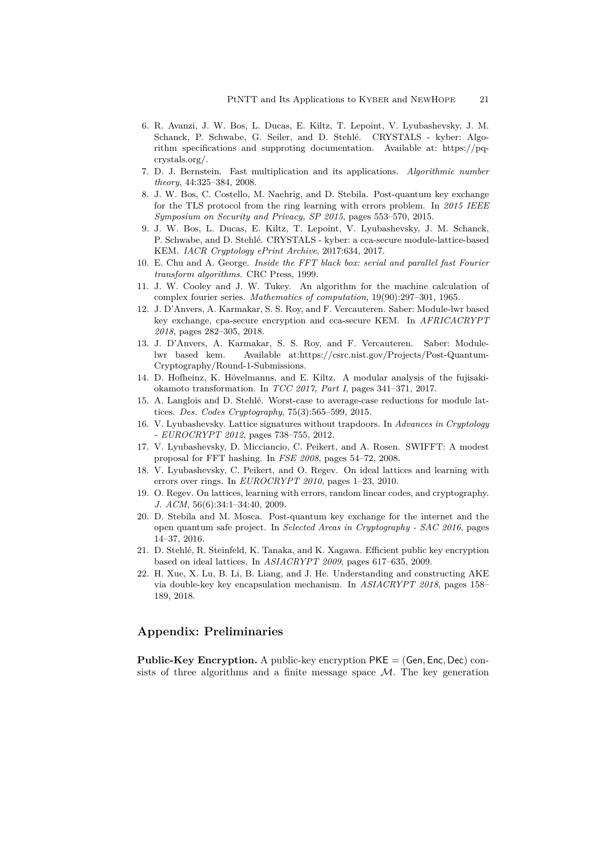- 6. R. Avanzi, J. W. Bos, L. Ducas, E. Kiltz, T. Lepoint, V. Lyubashevsky, J. M. Schanck, P. Schwabe, G. Seiler, and D. Stehlé. CRYSTALS - kyber: Algorithm specifications and supproting documentation. Available at: https://pqcrystals.org/.
- 7. D. J. Bernstein. Fast multiplication and its applications. *Algorithmic number theory*, 44:325–384, 2008.
- 8. J. W. Bos, C. Costello, M. Naehrig, and D. Stebila. Post-quantum key exchange for the TLS protocol from the ring learning with errors problem. In *2015 IEEE Symposium on Security and Privacy, SP 2015*, pages 553–570, 2015.
- 9. J. W. Bos, L. Ducas, E. Kiltz, T. Lepoint, V. Lyubashevsky, J. M. Schanck, P. Schwabe, and D. Stehlé. CRYSTALS - kyber: a cca-secure module-lattice-based KEM. *IACR Cryptology ePrint Archive*, 2017:634, 2017.
- 10. E. Chu and A. George. *Inside the FFT black box: serial and parallel fast Fourier transform algorithms*. CRC Press, 1999.
- 11. J. W. Cooley and J. W. Tukey. An algorithm for the machine calculation of complex fourier series. *Mathematics of computation*, 19(90):297–301, 1965.
- 12. J. D'Anvers, A. Karmakar, S. S. Roy, and F. Vercauteren. Saber: Module-lwr based key exchange, cpa-secure encryption and cca-secure KEM. In *AFRICACRYPT 2018*, pages 282–305, 2018.
- 13. J. D'Anvers, A. Karmakar, S. S. Roy, and F. Vercauteren. Saber: Modulelwr based kem. Available at:https://csrc.nist.gov/Projects/Post-Quantum-Cryptography/Round-1-Submissions.
- 14. D. Hofheinz, K. Hövelmanns, and E. Kiltz. A modular analysis of the fujisakiokamoto transformation. In *TCC 2017, Part I*, pages 341–371, 2017.
- 15. A. Langlois and D. Stehlé. Worst-case to average-case reductions for module lattices. *Des. Codes Cryptography*, 75(3):565–599, 2015.
- 16. V. Lyubashevsky. Lattice signatures without trapdoors. In *Advances in Cryptology - EUROCRYPT 2012*, pages 738–755, 2012.
- 17. V. Lyubashevsky, D. Micciancio, C. Peikert, and A. Rosen. SWIFFT: A modest proposal for FFT hashing. In *FSE 2008*, pages 54–72, 2008.
- 18. V. Lyubashevsky, C. Peikert, and O. Regev. On ideal lattices and learning with errors over rings. In *EUROCRYPT 2010*, pages 1–23, 2010.
- 19. O. Regev. On lattices, learning with errors, random linear codes, and cryptography. *J. ACM*, 56(6):34:1–34:40, 2009.
- 20. D. Stebila and M. Mosca. Post-quantum key exchange for the internet and the open quantum safe project. In *Selected Areas in Cryptography - SAC 2016*, pages 14–37, 2016.
- 21. D. Stehlé, R. Steinfeld, K. Tanaka, and K. Xagawa. Efficient public key encryption based on ideal lattices. In *ASIACRYPT 2009*, pages 617–635, 2009.
- 22. H. Xue, X. Lu, B. Li, B. Liang, and J. He. Understanding and constructing AKE via double-key key encapsulation mechanism. In *ASIACRYPT 2018*, pages 158– 189, 2018.

# **Appendix: Preliminaries**

**Public-Key Encryption.** A public-key encryption PKE = (Gen*,* Enc*,* Dec) consists of three algorithms and a finite message space  $M$ . The key generation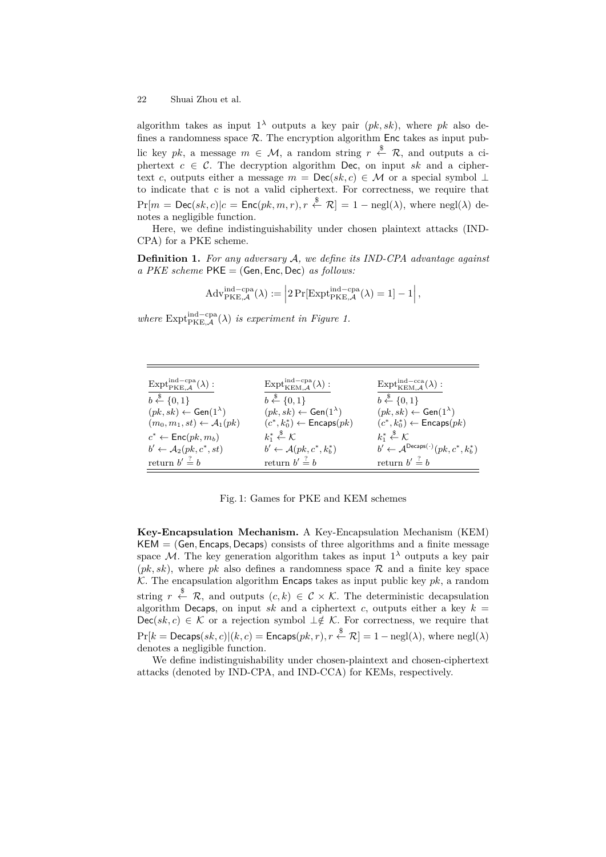algorithm takes as input  $1^{\lambda}$  outputs a key pair  $(pk, sk)$ , where *pk* also defines a randomness space  $\mathcal{R}$ . The encryption algorithm Enc takes as input public key *pk*, a message  $m \in \mathcal{M}$ , a random string  $r \stackrel{\$}{\leftarrow} \mathcal{R}$ , and outputs a ciphertext  $c \in \mathcal{C}$ . The decryption algorithm Dec, on input *sk* and a ciphertext *c*, outputs either a message  $m = \text{Dec}(sk, c) \in \mathcal{M}$  or a special symbol  $\perp$ to indicate that c is not a valid ciphertext. For correctness, we require that  $Pr[m = Dec(sk, c]|c = Enc(pk, m, r), r \stackrel{\$}{\leftarrow} \mathcal{R}]= 1 - negl(\lambda)$ , where  $negl(\lambda)$  denotes a negligible function.

Here, we define indistinguishability under chosen plaintext attacks (IND-CPA) for a PKE scheme.

**Definition 1.** *For any adversary A, we define its IND-CPA advantage against a PKE scheme* PKE = (Gen*,* Enc*,* Dec) *as follows:*

$$
\mathrm{Adv}_{\mathrm{PKE},\mathcal{A}}^{\mathrm{ind-cpa}}(\lambda) := \left|2\Pr[\mathrm{Expt}_{\mathrm{PKE},\mathcal{A}}^{\mathrm{ind-cpa}}(\lambda) = 1] - 1\right|,
$$

*where*  $\text{Expt}_{\text{PKE},\mathcal{A}}^{\text{ind-cpa}}(\lambda)$  *is experiment in Figure 1.* 

| $\mathrm{Expt}_{\mathrm{PKE},A}^{\mathrm{ind-cpa}}(\lambda):$ | $\mathrm{Expt}^{\mathrm{ind-cpa}}_{\mathrm{KEM.}A}(\lambda):$ | $\mathrm{Expt}_{\mathrm{KEM}\_\mathcal{A}}^{\mathrm{ind-cca}}(\lambda)$ : |
|---------------------------------------------------------------|---------------------------------------------------------------|---------------------------------------------------------------------------|
| $b \stackrel{\$}{\leftarrow} \{0,1\}$                         | $b \stackrel{\$}{\leftarrow} \{0,1\}$                         | $b \stackrel{\$}{\leftarrow} \{0,1\}$                                     |
| $(pk, sk) \leftarrow Gen(1^{\lambda})$                        | $(pk, sk) \leftarrow$ Gen $(1^{\lambda})$                     | $(pk, sk) \leftarrow Gen(1^{\lambda})$                                    |
| $(m_0, m_1, st) \leftarrow \mathcal{A}_1(pk)$                 | $(c^*, k_0^*) \leftarrow$ Encaps $(pk)$                       | $(c^*, k_0^*) \leftarrow$ Encaps $(pk)$                                   |
| $c^* \leftarrow \mathsf{Enc}(pk, m_b)$                        | $k_1^* \overset{\$}{\leftarrow} \mathcal{K}$                  | $k_1^* \overset{\$}{\leftarrow} \mathcal{K}$                              |
| $b' \leftarrow \mathcal{A}_2(pk, c^*, st)$                    | $b' \leftarrow \mathcal{A}(pk, c^*, k_b^*)$                   | $b' \leftarrow \mathcal{A}^{\mathsf{Decaps}(\cdot)}(pk, c^*, k_b^*)$      |
| return $b' \stackrel{?}{=} b$                                 | return $b' \stackrel{?}{=} b$                                 | return $b' \stackrel{?}{=} b$                                             |

Fig. 1: Games for PKE and KEM schemes

**Key-Encapsulation Mechanism.** A Key-Encapsulation Mechanism (KEM) KEM = (Gen*,* Encaps*,* Decaps) consists of three algorithms and a finite message space  $M$ . The key generation algorithm takes as input  $1^{\lambda}$  outputs a key pair  $(pk, sk)$ , where *pk* also defines a randomness space  $\mathcal{R}$  and a finite key space  $K$ . The encapsulation algorithm **Encaps** takes as input public key  $pk$ , a random string  $r \stackrel{\$}{\leftarrow} \mathcal{R}$ , and outputs  $(c, k) \in \mathcal{C} \times \mathcal{K}$ . The deterministic decapsulation algorithm Decaps, on input *sk* and a ciphertext *c*, outputs either a key  $k =$  $\text{Dec}(sk, c) \in \mathcal{K}$  or a rejection symbol  $\perp \notin \mathcal{K}$ . For correctness, we require that  $\Pr[k=\mathsf{Decaps}(sk, c)|(k, c)=\mathsf{Encaps}(pk, r), r \overset{\$}{\leftarrow} \mathcal{R}]=1-\mathrm{negl}(\lambda), \text{ where } \mathrm{negl}(\lambda)$ denotes a negligible function.

We define indistinguishability under chosen-plaintext and chosen-ciphertext attacks (denoted by IND-CPA, and IND-CCA) for KEMs, respectively.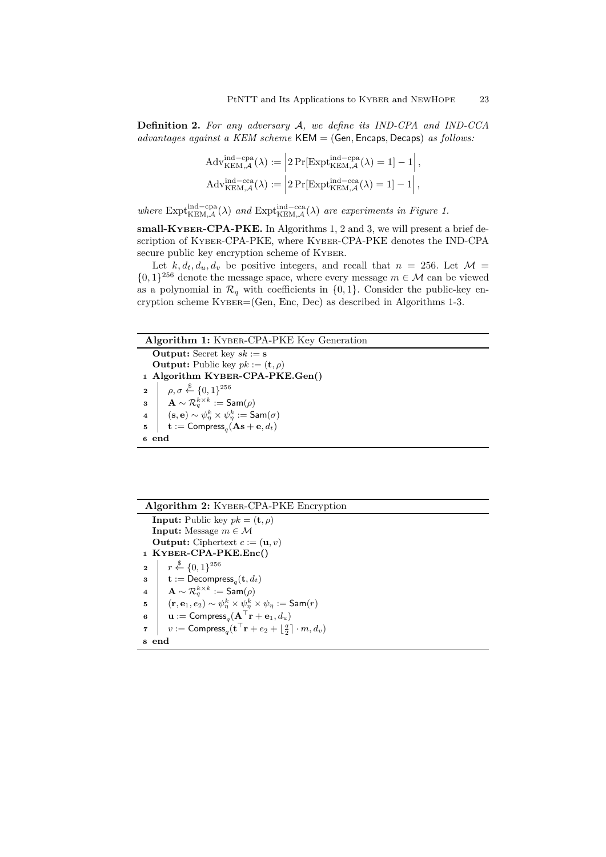**Definition 2.** *For any adversary A, we define its IND-CPA and IND-CCA advantages against a KEM scheme* KEM = (Gen*,* Encaps*,* Decaps) *as follows:*

$$
\begin{aligned} &\mathrm{Adv}_{\mathrm{KEM},\mathcal{A}}^{\mathrm{ind-cpa}}(\lambda) := \left|2\Pr[\mathrm{Expt}_{\mathrm{KEM},\mathcal{A}}^{\mathrm{ind-cpa}}(\lambda) = 1] - 1\right|, \\ &\mathrm{Adv}_{\mathrm{KEM},\mathcal{A}}^{\mathrm{ind-cca}}(\lambda) := \left|2\Pr[\mathrm{Expt}_{\mathrm{KEM},\mathcal{A}}^{\mathrm{ind-cca}}(\lambda) = 1] - 1\right|, \end{aligned}
$$

*where*  $\text{Expt}_{\text{KEM},\mathcal{A}}^{\text{ind}-\text{cpa}}(\lambda)$  *and*  $\text{Expt}_{\text{KEM},\mathcal{A}}^{\text{ind}-\text{cca}}(\lambda)$  *are experiments in Figure 1.* 

**small-KYBER-CPA-PKE.** In Algorithms 1, 2 and 3, we will present a brief description of KYBER-CPA-PKE, where KYBER-CPA-PKE denotes the IND-CPA secure public key encryption scheme of KYBER.

Let  $k, d_t, d_u, d_v$  be positive integers, and recall that  $n = 256$ . Let  $\mathcal{M} =$  $\{0,1\}^{256}$  denote the message space, where every message  $m \in \mathcal{M}$  can be viewed as a polynomial in  $\mathcal{R}_q$  with coefficients in  $\{0,1\}$ . Consider the public-key encryption scheme KYBER=(Gen, Enc, Dec) as described in Algorithms 1-3.



**Algorithm 2:** KYBER-CPA-PKE Encryption **Input:** Public key  $pk = (\mathbf{t}, \rho)$ **Input:** Message  $m \in \mathcal{M}$ **Output:** Ciphertext  $c := (\mathbf{u}, v)$ **<sup>1</sup> KYBER-CPA-PKE.Enc()**  $r \leftarrow \{0, 1\}^{256}$  $\textbf{t} := \mathsf{Decompress}_q(\textbf{t}, d_t)$  $\begin{array}{ll} \textbf{4} & \mid & \textbf{A} \sim \mathcal{R}_q^{k \times k} := \mathsf{Sam}(\rho) \end{array}$ **5**  $(\mathbf{r}, \mathbf{e}_1, e_2) \sim \psi_{\eta}^k \times \psi_{\eta}^k \times \psi_{\eta} := \mathsf{Sam}(r)$ **<sup>6</sup> u** := Compress*<sup>q</sup>* (**A***⊤***r** + **e**1*, du*) **7**  $v := \textsf{Compress}_q(\mathbf{t}^\top \mathbf{r} + e_2 + \lfloor \frac{q}{2} \rfloor \cdot m, d_v)$ **<sup>8</sup> end**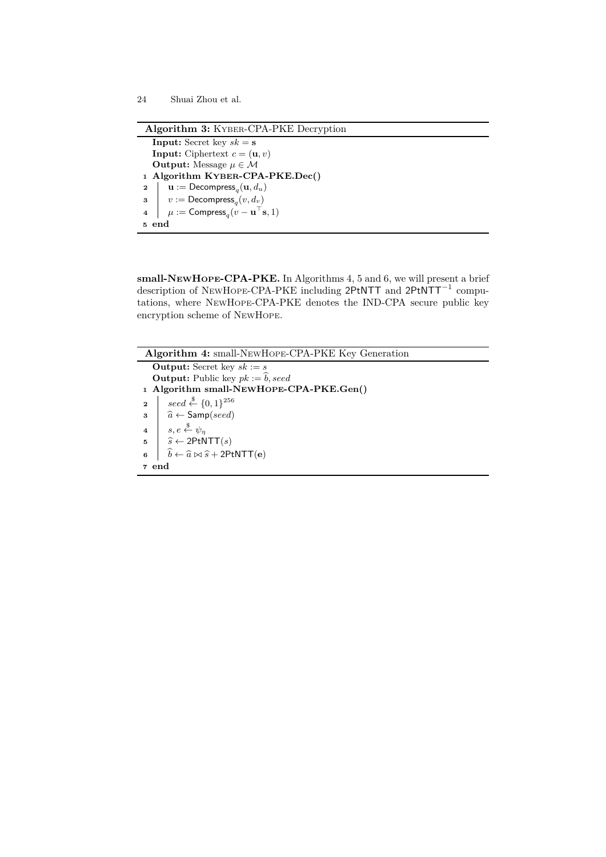```
Algorithm 3: KYBER-CPA-PKE Decryption
   Input: Secret key sk = sInput: Ciphertext c = (\mathbf{u}, v)Output: Message \mu \in \mathcal{M}1 Algorithm KYBER-CPA-PKE.Dec()
\mathbf{u} := \mathsf{Decompress}_q(\mathbf{u}, d_u)3 v := \textsf{Decompress}_q(v, d_v)4 \mu := Compress<sub>q</sub></sub>(v − \mathbf{u}^\top \mathbf{s}, 1)5 end
```
**small-NEWHOPE-CPA-PKE.** In Algorithms 4, 5 and 6, we will present a brief description of NEWHOPE-CPA-PKE including 2PtNTT and 2PtNTT*−*<sup>1</sup> computations, where NEWHOPE-CPA-PKE denotes the IND-CPA secure public key encryption scheme of NEWHOPE.

**Algorithm 4:** small-NEWHOPE-CPA-PKE Key Generation **Output:** Secret key  $sk := s$ **Output:** Public key  $pk := \hat{b}$ , seed **<sup>1</sup> Algorithm small-NEWHOPE-CPA-PKE.Gen()**  $\begin{array}{|c} \mathbf{2} & \mathbf{2} \end{array}$   $\begin{array}{|c} \mathbf{2} & \mathbf{2} \end{array}$  seed  $\stackrel{\$}{\leftarrow} \{0,1\}^{256}$ **3**  $\hat{a} \leftarrow$  Samp(*seed*)  $4 \mid s, e \overset{\$}{\leftarrow} \psi_{\eta}$  $\begin{array}{c|c}\n\mathbf{5} & \hat{s} \leftarrow 2\text{PtNTT}(s) \\
\hat{b} & \hat{b} \leftarrow \hat{a} \bowtie \hat{s} + 2\text{Pt} \\
\end{array}$  $\hat{b} \leftarrow \hat{a} \bowtie \hat{s} + 2$ PtNTT(**e**) **<sup>7</sup> end**